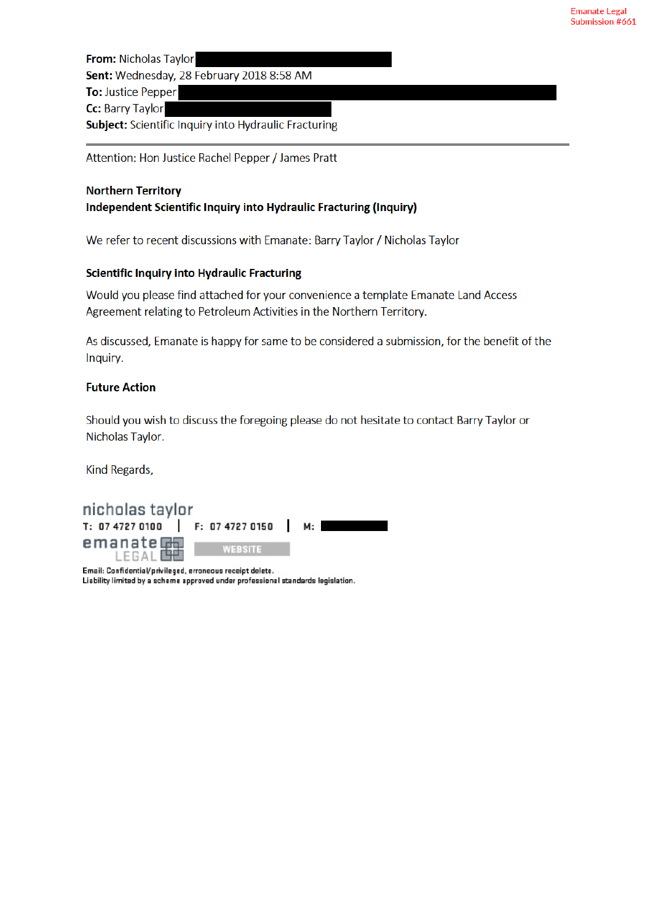From: Nicholas Taylor Sent: Wednesday, 28 February 2018 8:58 AM **To: Justice Pepper** Cc: Barry Taylor Subject: Scientific Inquiry into Hydraulic Fracturing

Attention: Hon Justice Rachel Pepper / James Pratt

#### **Northern Territory**

#### Independent Scientific Inquiry into Hydraulic Fracturing (Inquiry)

We refer to recent discussions with Emanate: Barry Taylor / Nicholas Taylor

#### **Scientific Inquiry into Hydraulic Fracturing**

Would you please find attached for your convenience a template Emanate Land Access Agreement relating to Petroleum Activities in the Northern Territory.

As discussed, Emanate is happy for same to be considered a submission, for the benefit of the Inquiry.

#### **Future Action**

Should you wish to discuss the foregoing please do not hesitate to contact Barry Taylor or Nicholas Taylor.

Kind Regards,



Email: Confidential/privileged, erroneous receipt delete. Liability limited by a scheme approved under professional standards legislation.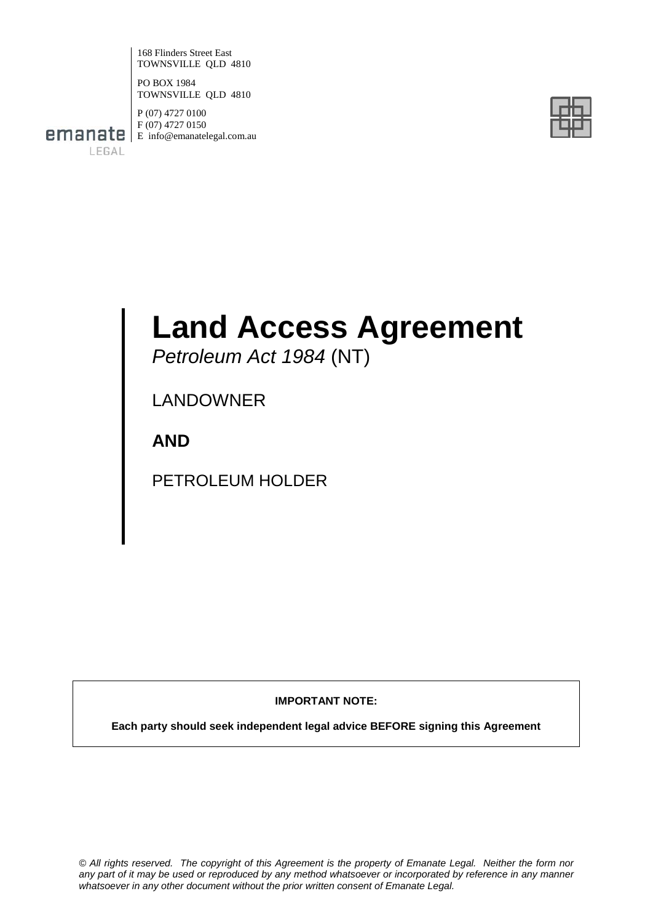168 Flinders Street East TOWNSVILLE QLD 4810

PO BOX 1984 TOWNSVILLE QLD 4810

LEGAL

P (07) 4727 0100 F (07) 4727 0150 **emanate** E info@emanatelegal.com.au



# **Land Access Agreement**

*Petroleum Act 1984* (NT)

LANDOWNER

**AND**

PETROLEUM HOLDER

**IMPORTANT NOTE:**

**Each party should seek independent legal advice BEFORE signing this Agreement**

*© All rights reserved. The copyright of this Agreement is the property of Emanate Legal. Neither the form nor any part of it may be used or reproduced by any method whatsoever or incorporated by reference in any manner whatsoever in any other document without the prior written consent of Emanate Legal.*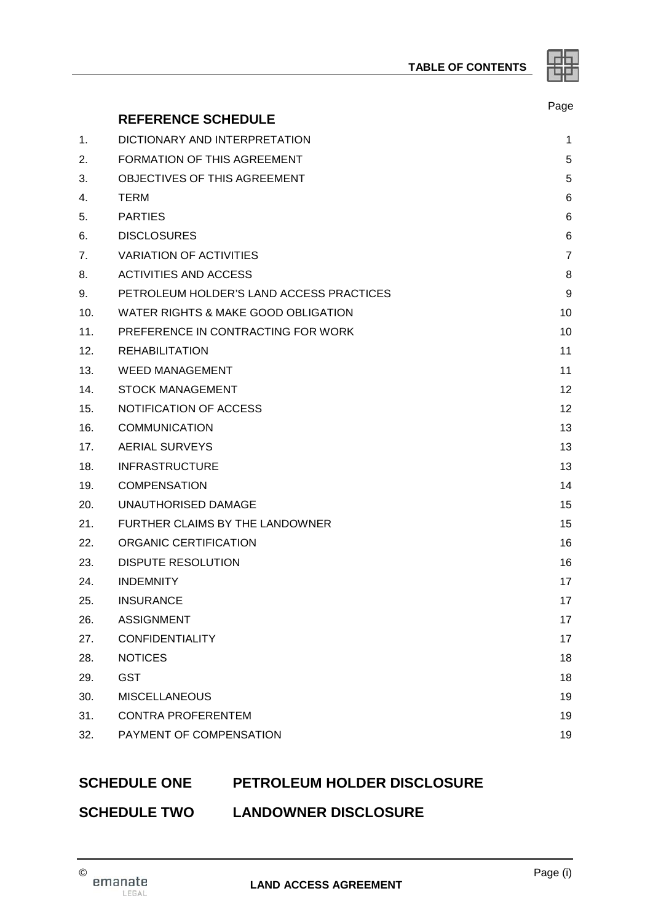**TABLE OF CONTENTS**

|   | ــ<br>٠ |
|---|---------|
| ⋍ |         |
|   |         |

|                |                                          | Page |
|----------------|------------------------------------------|------|
|                | <b>REFERENCE SCHEDULE</b>                |      |
| 1.             | DICTIONARY AND INTERPRETATION            | 1    |
| 2.             | <b>FORMATION OF THIS AGREEMENT</b>       | 5    |
| 3.             | OBJECTIVES OF THIS AGREEMENT             | 5    |
| 4.             | <b>TERM</b>                              | 6    |
| 5.             | <b>PARTIES</b>                           | 6    |
| 6.             | <b>DISCLOSURES</b>                       | 6    |
| 7 <sub>1</sub> | <b>VARIATION OF ACTIVITIES</b>           | 7    |
| 8.             | <b>ACTIVITIES AND ACCESS</b>             | 8    |
| 9.             | PETROLEUM HOLDER'S LAND ACCESS PRACTICES | 9    |
| 10.            | WATER RIGHTS & MAKE GOOD OBLIGATION      | 10   |
| 11.            | PREFERENCE IN CONTRACTING FOR WORK       | 10   |
| 12.            | <b>REHABILITATION</b>                    | 11   |
| 13.            | <b>WEED MANAGEMENT</b>                   | 11   |
| 14.            | <b>STOCK MANAGEMENT</b>                  | 12   |
| 15.            | NOTIFICATION OF ACCESS                   | 12   |
| 16.            | <b>COMMUNICATION</b>                     | 13   |
| 17.            | <b>AERIAL SURVEYS</b>                    | 13   |
| 18.            | <b>INFRASTRUCTURE</b>                    | 13   |
| 19.            | <b>COMPENSATION</b>                      | 14   |
| 20.            | UNAUTHORISED DAMAGE                      | 15   |
| 21.            | FURTHER CLAIMS BY THE LANDOWNER          | 15   |
| 22.            | ORGANIC CERTIFICATION                    | 16   |
| 23.            | <b>DISPUTE RESOLUTION</b>                | 16   |
| 24.            | <b>INDEMNITY</b>                         | 17   |
| 25.            | <b>INSURANCE</b>                         | 17   |
| 26.            | <b>ASSIGNMENT</b>                        | 17   |
| 27.            | <b>CONFIDENTIALITY</b>                   | 17   |
| 28.            | <b>NOTICES</b>                           | 18   |
| 29.            | <b>GST</b>                               | 18   |
| 30.            | <b>MISCELLANEOUS</b>                     | 19   |
| 31.            | <b>CONTRA PROFERENTEM</b>                | 19   |
| 32.            | PAYMENT OF COMPENSATION                  | 19   |

# **SCHEDULE ONE PETROLEUM HOLDER DISCLOSURE**

# **SCHEDULE TWO LANDOWNER DISCLOSURE**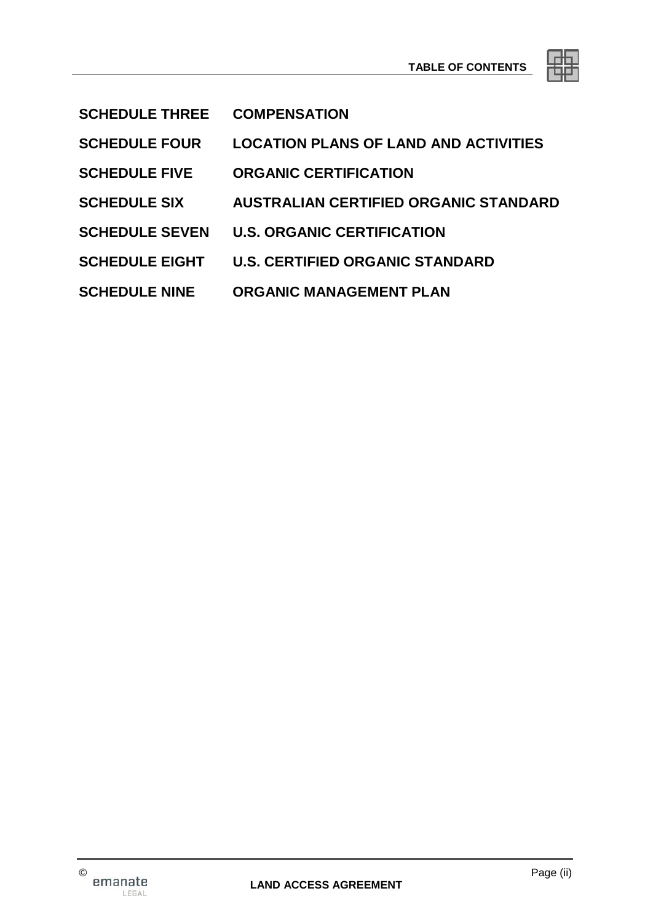| ⋍ |  | ╾ |
|---|--|---|
|   |  |   |

- **SCHEDULE THREE COMPENSATION**
- **SCHEDULE FOUR LOCATION PLANS OF LAND AND ACTIVITIES**
- **SCHEDULE FIVE ORGANIC CERTIFICATION**
- **SCHEDULE SIX AUSTRALIAN CERTIFIED ORGANIC STANDARD**
- **SCHEDULE SEVEN U.S. ORGANIC CERTIFICATION**
- **SCHEDULE EIGHT U.S. CERTIFIED ORGANIC STANDARD**
- **SCHEDULE NINE ORGANIC MANAGEMENT PLAN**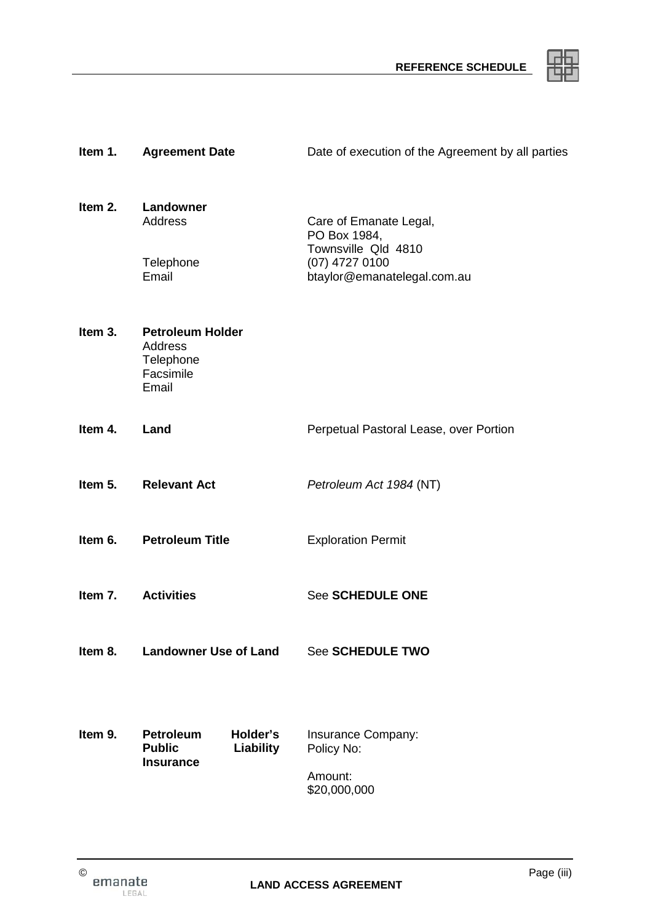

| Item 1. | <b>Agreement Date</b>                                                          | Date of execution of the Agreement by all parties                                                                |
|---------|--------------------------------------------------------------------------------|------------------------------------------------------------------------------------------------------------------|
| Item 2. | Landowner<br><b>Address</b><br>Telephone<br>Email                              | Care of Emanate Legal,<br>PO Box 1984,<br>Townsville Qld 4810<br>$(07)$ 4727 0100<br>btaylor@emanatelegal.com.au |
| Item 3. | <b>Petroleum Holder</b><br>Address<br>Telephone<br>Facsimile<br>Email          |                                                                                                                  |
| Item 4. | Land                                                                           | Perpetual Pastoral Lease, over Portion                                                                           |
| Item 5. | <b>Relevant Act</b>                                                            | Petroleum Act 1984 (NT)                                                                                          |
|         | Item 6. Petroleum Title                                                        | <b>Exploration Permit</b>                                                                                        |
| Item 7. | <b>Activities</b>                                                              | <b>See SCHEDULE ONE</b>                                                                                          |
| Item 8. | <b>Landowner Use of Land</b>                                                   | <b>See SCHEDULE TWO</b>                                                                                          |
| Item 9. | Holder's<br><b>Petroleum</b><br><b>Public</b><br>Liability<br><b>Insurance</b> | Insurance Company:<br>Policy No:<br>Amount:<br>\$20,000,000                                                      |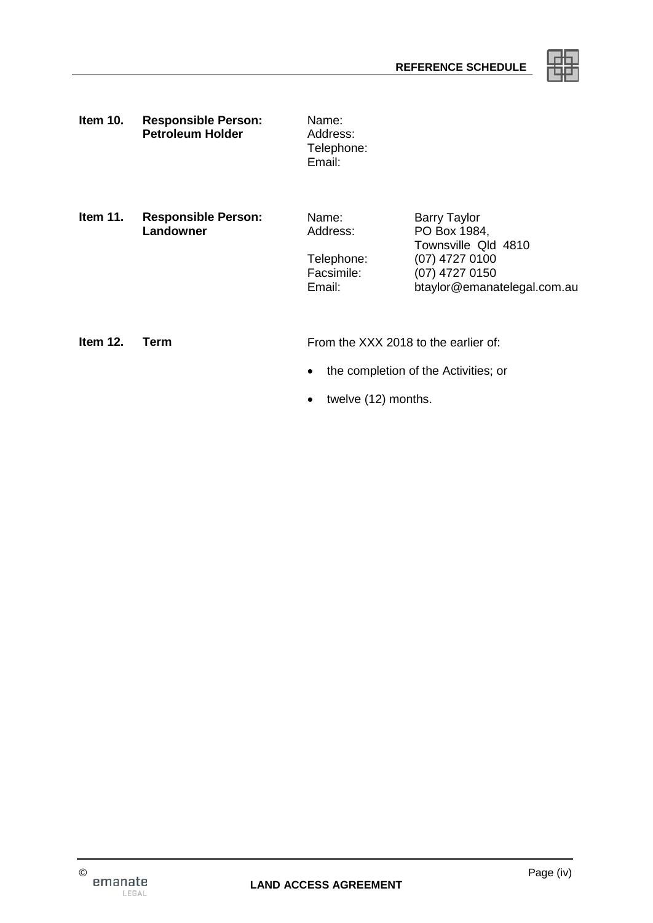

**Item 10. Responsible Person:** Name:<br>**Petroleum Holder** Address: **Petroleum Holder** 

Telephone: Email:

**Item 11. Responsible Person:** Name: Barry Taylor Name: Barry Taylor<br>Landowner Address: PO Box 1984

Address: PO Box 1984, Townsville Qld 4810 Telephone: (07) 4727 0100<br>Facsimile: (07) 4727 0150 Facsimile: (07) 4727 0150<br>Email: btavlor@emana btaylor@emanatelegal.com.au

**Item 12. Term** From the XXX 2018 to the earlier of:

- the completion of the Activities; or
- twelve (12) months.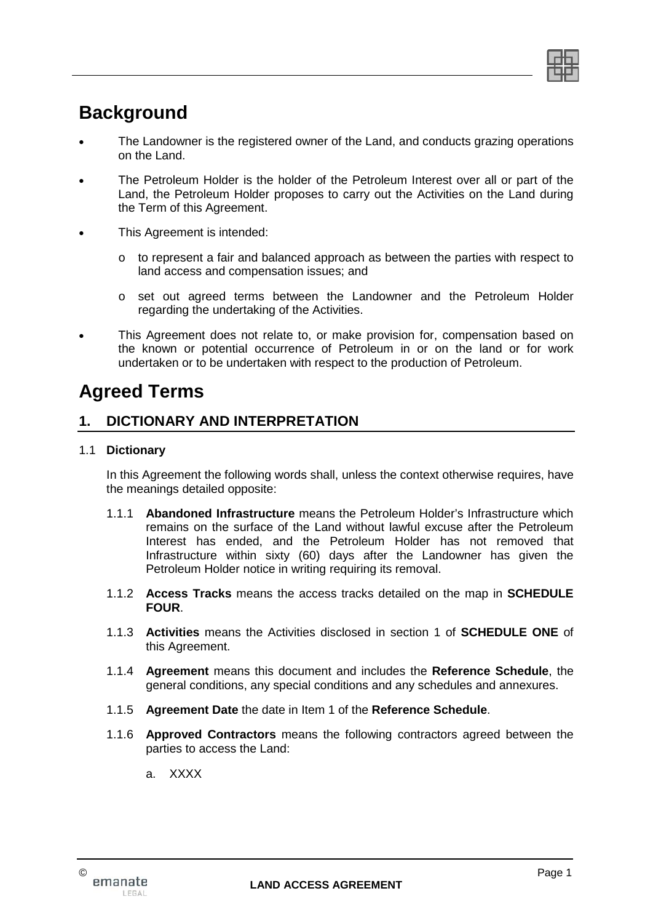

# **Background**

- The Landowner is the registered owner of the Land, and conducts grazing operations on the Land.
- The Petroleum Holder is the holder of the Petroleum Interest over all or part of the Land, the Petroleum Holder proposes to carry out the Activities on the Land during the Term of this Agreement.
- This Agreement is intended:
	- o to represent a fair and balanced approach as between the parties with respect to land access and compensation issues; and
	- o set out agreed terms between the Landowner and the Petroleum Holder regarding the undertaking of the Activities.
- This Agreement does not relate to, or make provision for, compensation based on the known or potential occurrence of Petroleum in or on the land or for work undertaken or to be undertaken with respect to the production of Petroleum.

# **Agreed Terms**

# **1. DICTIONARY AND INTERPRETATION**

## 1.1 **Dictionary**

In this Agreement the following words shall, unless the context otherwise requires, have the meanings detailed opposite:

- 1.1.1 **Abandoned Infrastructure** means the Petroleum Holder's Infrastructure which remains on the surface of the Land without lawful excuse after the Petroleum Interest has ended, and the Petroleum Holder has not removed that Infrastructure within sixty (60) days after the Landowner has given the Petroleum Holder notice in writing requiring its removal.
- 1.1.2 **Access Tracks** means the access tracks detailed on the map in **SCHEDULE FOUR**.
- 1.1.3 **Activities** means the Activities disclosed in section 1 of **SCHEDULE ONE** of this Agreement.
- 1.1.4 **Agreement** means this document and includes the **Reference Schedule**, the general conditions, any special conditions and any schedules and annexures.
- 1.1.5 **Agreement Date** the date in Item 1 of the **Reference Schedule**.
- 1.1.6 **Approved Contractors** means the following contractors agreed between the parties to access the Land:
	- a. XXXX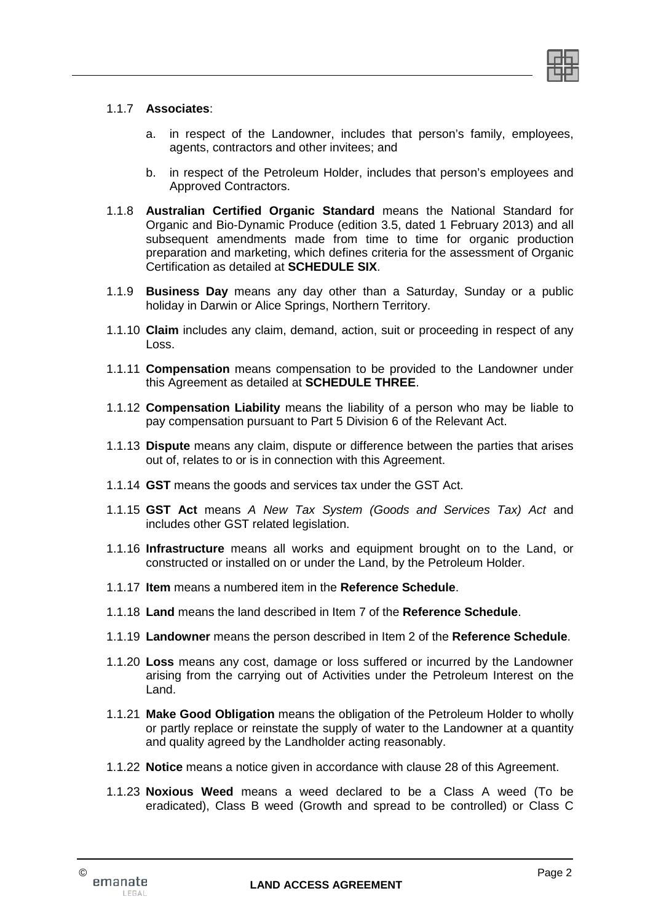

#### 1.1.7 **Associates**:

- a. in respect of the Landowner, includes that person's family, employees, agents, contractors and other invitees; and
- b. in respect of the Petroleum Holder, includes that person's employees and Approved Contractors.
- 1.1.8 **Australian Certified Organic Standard** means the National Standard for Organic and Bio-Dynamic Produce (edition 3.5, dated 1 February 2013) and all subsequent amendments made from time to time for organic production preparation and marketing, which defines criteria for the assessment of Organic Certification as detailed at **SCHEDULE SIX**.
- 1.1.9 **Business Day** means any day other than a Saturday, Sunday or a public holiday in Darwin or Alice Springs, Northern Territory.
- 1.1.10 **Claim** includes any claim, demand, action, suit or proceeding in respect of any Loss.
- 1.1.11 **Compensation** means compensation to be provided to the Landowner under this Agreement as detailed at **SCHEDULE THREE**.
- 1.1.12 **Compensation Liability** means the liability of a person who may be liable to pay compensation pursuant to Part 5 Division 6 of the Relevant Act.
- 1.1.13 **Dispute** means any claim, dispute or difference between the parties that arises out of, relates to or is in connection with this Agreement.
- 1.1.14 **GST** means the goods and services tax under the GST Act.
- 1.1.15 **GST Act** means *A New Tax System (Goods and Services Tax) Act* and includes other GST related legislation.
- 1.1.16 **Infrastructure** means all works and equipment brought on to the Land, or constructed or installed on or under the Land, by the Petroleum Holder.
- 1.1.17 **Item** means a numbered item in the **Reference Schedule**.
- 1.1.18 **Land** means the land described in Item 7 of the **Reference Schedule**.
- 1.1.19 **Landowner** means the person described in Item 2 of the **Reference Schedule**.
- 1.1.20 **Loss** means any cost, damage or loss suffered or incurred by the Landowner arising from the carrying out of Activities under the Petroleum Interest on the Land.
- 1.1.21 **Make Good Obligation** means the obligation of the Petroleum Holder to wholly or partly replace or reinstate the supply of water to the Landowner at a quantity and quality agreed by the Landholder acting reasonably.
- 1.1.22 **Notice** means a notice given in accordance with clause 28 of this Agreement.
- 1.1.23 **Noxious Weed** means a weed declared to be a Class A weed (To be eradicated), Class B weed (Growth and spread to be controlled) or Class C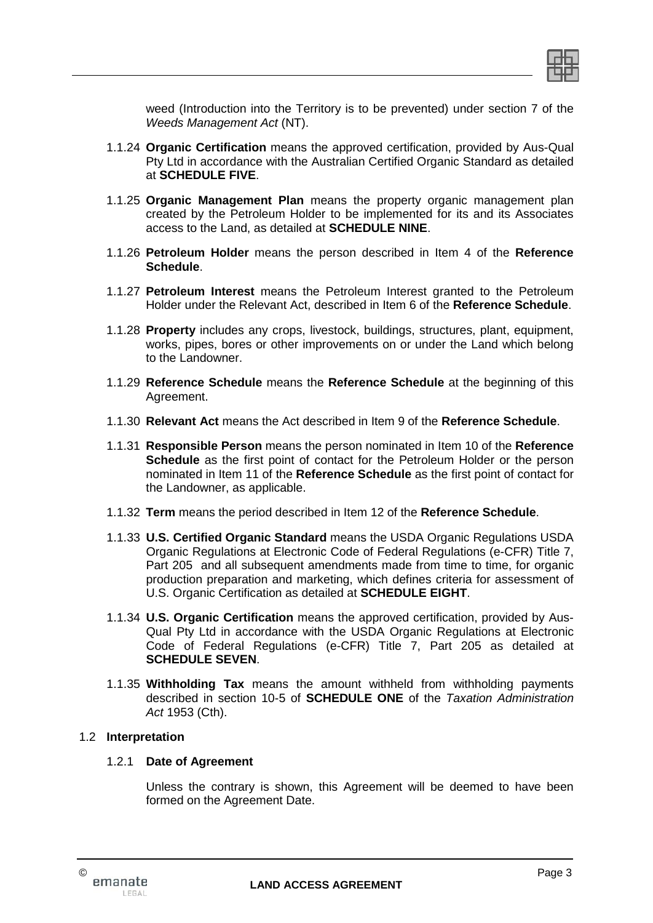

weed (Introduction into the Territory is to be prevented) under section 7 of the *Weeds Management Act* (NT).

- 1.1.24 **Organic Certification** means the approved certification, provided by Aus-Qual Pty Ltd in accordance with the Australian Certified Organic Standard as detailed at **SCHEDULE FIVE**.
- 1.1.25 **Organic Management Plan** means the property organic management plan created by the Petroleum Holder to be implemented for its and its Associates access to the Land, as detailed at **SCHEDULE NINE**.
- 1.1.26 **Petroleum Holder** means the person described in Item 4 of the **Reference Schedule**.
- 1.1.27 **Petroleum Interest** means the Petroleum Interest granted to the Petroleum Holder under the Relevant Act, described in Item 6 of the **Reference Schedule**.
- 1.1.28 **Property** includes any crops, livestock, buildings, structures, plant, equipment, works, pipes, bores or other improvements on or under the Land which belong to the Landowner.
- 1.1.29 **Reference Schedule** means the **Reference Schedule** at the beginning of this Agreement.
- 1.1.30 **Relevant Act** means the Act described in Item 9 of the **Reference Schedule**.
- 1.1.31 **Responsible Person** means the person nominated in Item 10 of the **Reference Schedule** as the first point of contact for the Petroleum Holder or the person nominated in Item 11 of the **Reference Schedule** as the first point of contact for the Landowner, as applicable.
- 1.1.32 **Term** means the period described in Item 12 of the **Reference Schedule**.
- 1.1.33 **U.S. Certified Organic Standard** means the USDA Organic Regulations USDA Organic Regulations at Electronic Code of Federal Regulations (e-CFR) Title 7, Part 205 and all subsequent amendments made from time to time, for organic production preparation and marketing, which defines criteria for assessment of U.S. Organic Certification as detailed at **SCHEDULE EIGHT**.
- 1.1.34 **U.S. Organic Certification** means the approved certification, provided by Aus-Qual Pty Ltd in accordance with the USDA Organic Regulations at Electronic Code of Federal Regulations (e-CFR) Title 7, Part 205 as detailed at **SCHEDULE SEVEN**.
- 1.1.35 **Withholding Tax** means the amount withheld from withholding payments described in section 10-5 of **SCHEDULE ONE** of the *Taxation Administration Act* 1953 (Cth).

#### 1.2 **Interpretation**

#### 1.2.1 **Date of Agreement**

Unless the contrary is shown, this Agreement will be deemed to have been formed on the Agreement Date.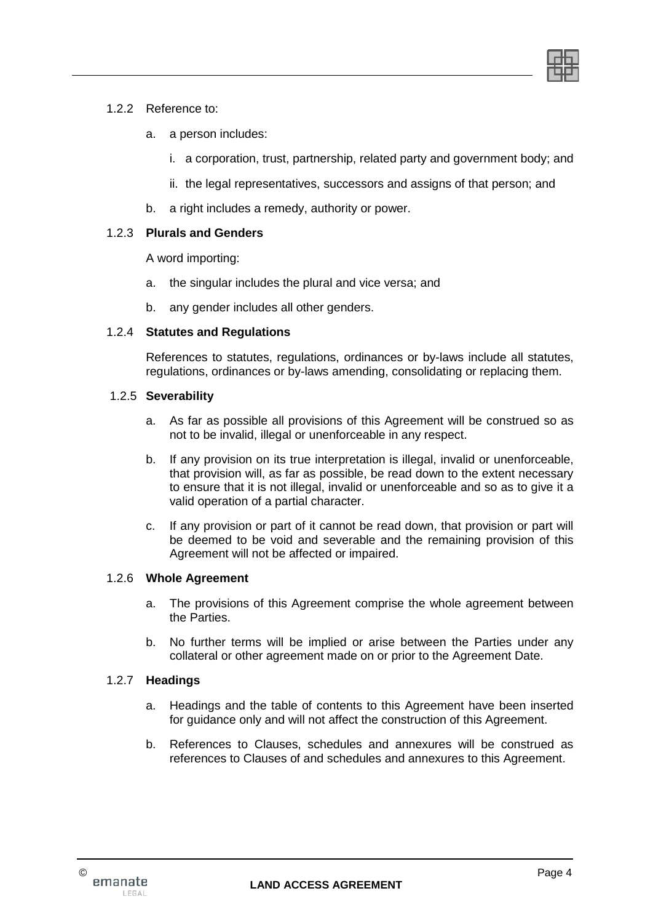

#### 1.2.2 Reference to:

- a. a person includes:
	- i. a corporation, trust, partnership, related party and government body; and
	- ii. the legal representatives, successors and assigns of that person; and
- b. a right includes a remedy, authority or power.

#### 1.2.3 **Plurals and Genders**

A word importing:

- a. the singular includes the plural and vice versa; and
- b. any gender includes all other genders.

#### 1.2.4 **Statutes and Regulations**

References to statutes, regulations, ordinances or by-laws include all statutes, regulations, ordinances or by-laws amending, consolidating or replacing them.

#### 1.2.5 **Severability**

- a. As far as possible all provisions of this Agreement will be construed so as not to be invalid, illegal or unenforceable in any respect.
- b. If any provision on its true interpretation is illegal, invalid or unenforceable, that provision will, as far as possible, be read down to the extent necessary to ensure that it is not illegal, invalid or unenforceable and so as to give it a valid operation of a partial character.
- c. If any provision or part of it cannot be read down, that provision or part will be deemed to be void and severable and the remaining provision of this Agreement will not be affected or impaired.

#### 1.2.6 **Whole Agreement**

- a. The provisions of this Agreement comprise the whole agreement between the Parties.
- b. No further terms will be implied or arise between the Parties under any collateral or other agreement made on or prior to the Agreement Date.

#### 1.2.7 **Headings**

- a. Headings and the table of contents to this Agreement have been inserted for guidance only and will not affect the construction of this Agreement.
- b. References to Clauses, schedules and annexures will be construed as references to Clauses of and schedules and annexures to this Agreement.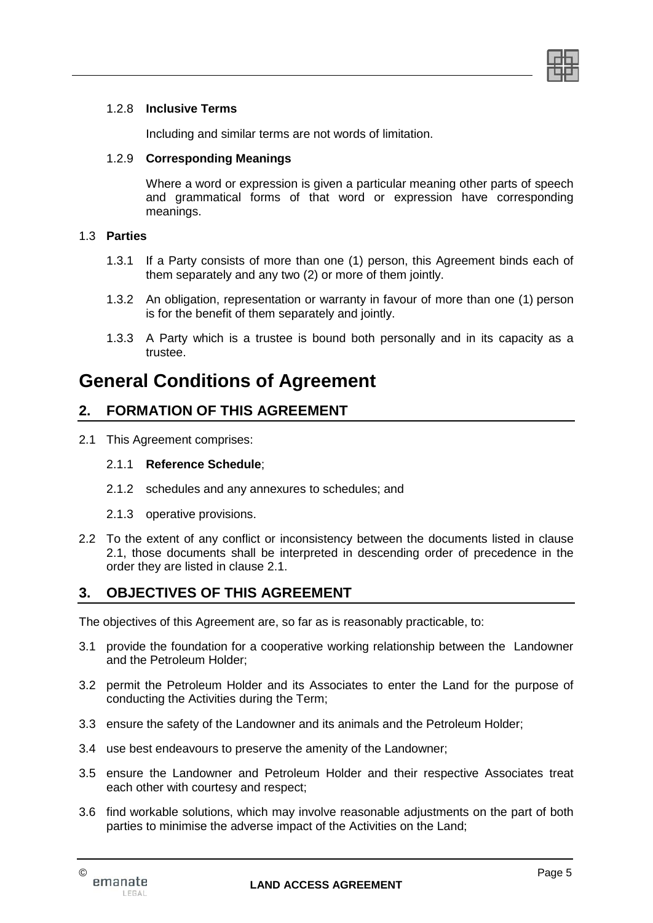

#### 1.2.8 **Inclusive Terms**

Including and similar terms are not words of limitation.

#### 1.2.9 **Corresponding Meanings**

Where a word or expression is given a particular meaning other parts of speech and grammatical forms of that word or expression have corresponding meanings.

## 1.3 **Parties**

- 1.3.1 If a Party consists of more than one (1) person, this Agreement binds each of them separately and any two (2) or more of them jointly.
- 1.3.2 An obligation, representation or warranty in favour of more than one (1) person is for the benefit of them separately and jointly.
- 1.3.3 A Party which is a trustee is bound both personally and in its capacity as a trustee.

# **General Conditions of Agreement**

# **2. FORMATION OF THIS AGREEMENT**

2.1 This Agreement comprises:

#### 2.1.1 **Reference Schedule**;

- 2.1.2 schedules and any annexures to schedules; and
- 2.1.3 operative provisions.
- 2.2 To the extent of any conflict or inconsistency between the documents listed in clause 2.1, those documents shall be interpreted in descending order of precedence in the order they are listed in clause 2.1.

# **3. OBJECTIVES OF THIS AGREEMENT**

The objectives of this Agreement are, so far as is reasonably practicable, to:

- 3.1 provide the foundation for a cooperative working relationship between the Landowner and the Petroleum Holder;
- 3.2 permit the Petroleum Holder and its Associates to enter the Land for the purpose of conducting the Activities during the Term;
- 3.3 ensure the safety of the Landowner and its animals and the Petroleum Holder;
- 3.4 use best endeavours to preserve the amenity of the Landowner;
- 3.5 ensure the Landowner and Petroleum Holder and their respective Associates treat each other with courtesy and respect;
- 3.6 find workable solutions, which may involve reasonable adjustments on the part of both parties to minimise the adverse impact of the Activities on the Land;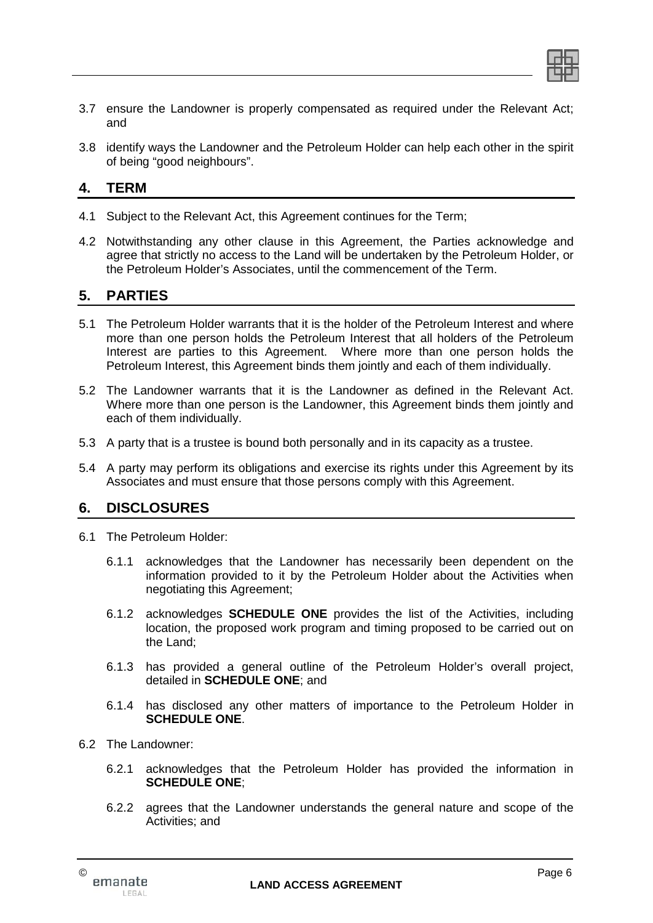

- 3.7 ensure the Landowner is properly compensated as required under the Relevant Act; and
- 3.8 identify ways the Landowner and the Petroleum Holder can help each other in the spirit of being "good neighbours".

# **4. TERM**

- 4.1 Subject to the Relevant Act, this Agreement continues for the Term;
- 4.2 Notwithstanding any other clause in this Agreement, the Parties acknowledge and agree that strictly no access to the Land will be undertaken by the Petroleum Holder, or the Petroleum Holder's Associates, until the commencement of the Term.

# **5. PARTIES**

- 5.1 The Petroleum Holder warrants that it is the holder of the Petroleum Interest and where more than one person holds the Petroleum Interest that all holders of the Petroleum Interest are parties to this Agreement. Where more than one person holds the Petroleum Interest, this Agreement binds them jointly and each of them individually.
- 5.2 The Landowner warrants that it is the Landowner as defined in the Relevant Act. Where more than one person is the Landowner, this Agreement binds them jointly and each of them individually.
- 5.3 A party that is a trustee is bound both personally and in its capacity as a trustee.
- 5.4 A party may perform its obligations and exercise its rights under this Agreement by its Associates and must ensure that those persons comply with this Agreement.

# **6. DISCLOSURES**

- 6.1 The Petroleum Holder:
	- 6.1.1 acknowledges that the Landowner has necessarily been dependent on the information provided to it by the Petroleum Holder about the Activities when negotiating this Agreement;
	- 6.1.2 acknowledges **SCHEDULE ONE** provides the list of the Activities, including location, the proposed work program and timing proposed to be carried out on the Land;
	- 6.1.3 has provided a general outline of the Petroleum Holder's overall project, detailed in **SCHEDULE ONE**; and
	- 6.1.4 has disclosed any other matters of importance to the Petroleum Holder in **SCHEDULE ONE**.
- 6.2 The Landowner:
	- 6.2.1 acknowledges that the Petroleum Holder has provided the information in **SCHEDULE ONE**;
	- 6.2.2 agrees that the Landowner understands the general nature and scope of the Activities; and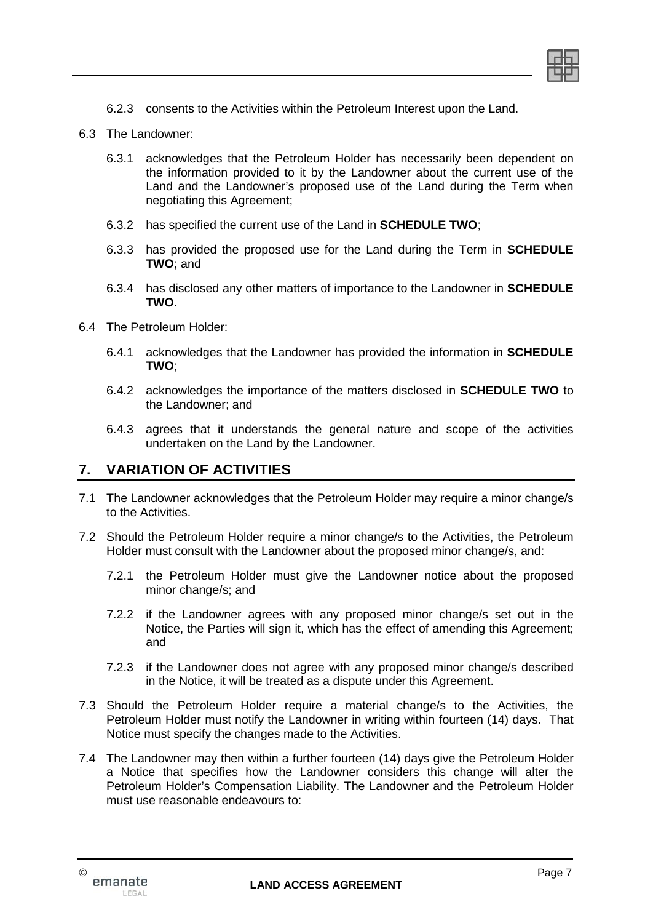

- 6.2.3 consents to the Activities within the Petroleum Interest upon the Land.
- 6.3 The Landowner:
	- 6.3.1 acknowledges that the Petroleum Holder has necessarily been dependent on the information provided to it by the Landowner about the current use of the Land and the Landowner's proposed use of the Land during the Term when negotiating this Agreement;
	- 6.3.2 has specified the current use of the Land in **SCHEDULE TWO**;
	- 6.3.3 has provided the proposed use for the Land during the Term in **SCHEDULE TWO**; and
	- 6.3.4 has disclosed any other matters of importance to the Landowner in **SCHEDULE TWO**.
- 6.4 The Petroleum Holder:
	- 6.4.1 acknowledges that the Landowner has provided the information in **SCHEDULE TWO**;
	- 6.4.2 acknowledges the importance of the matters disclosed in **SCHEDULE TWO** to the Landowner; and
	- 6.4.3 agrees that it understands the general nature and scope of the activities undertaken on the Land by the Landowner.

## **7. VARIATION OF ACTIVITIES**

- 7.1 The Landowner acknowledges that the Petroleum Holder may require a minor change/s to the Activities.
- 7.2 Should the Petroleum Holder require a minor change/s to the Activities, the Petroleum Holder must consult with the Landowner about the proposed minor change/s, and:
	- 7.2.1 the Petroleum Holder must give the Landowner notice about the proposed minor change/s; and
	- 7.2.2 if the Landowner agrees with any proposed minor change/s set out in the Notice, the Parties will sign it, which has the effect of amending this Agreement; and
	- 7.2.3 if the Landowner does not agree with any proposed minor change/s described in the Notice, it will be treated as a dispute under this Agreement.
- 7.3 Should the Petroleum Holder require a material change/s to the Activities, the Petroleum Holder must notify the Landowner in writing within fourteen (14) days. That Notice must specify the changes made to the Activities.
- 7.4 The Landowner may then within a further fourteen (14) days give the Petroleum Holder a Notice that specifies how the Landowner considers this change will alter the Petroleum Holder's Compensation Liability. The Landowner and the Petroleum Holder must use reasonable endeavours to: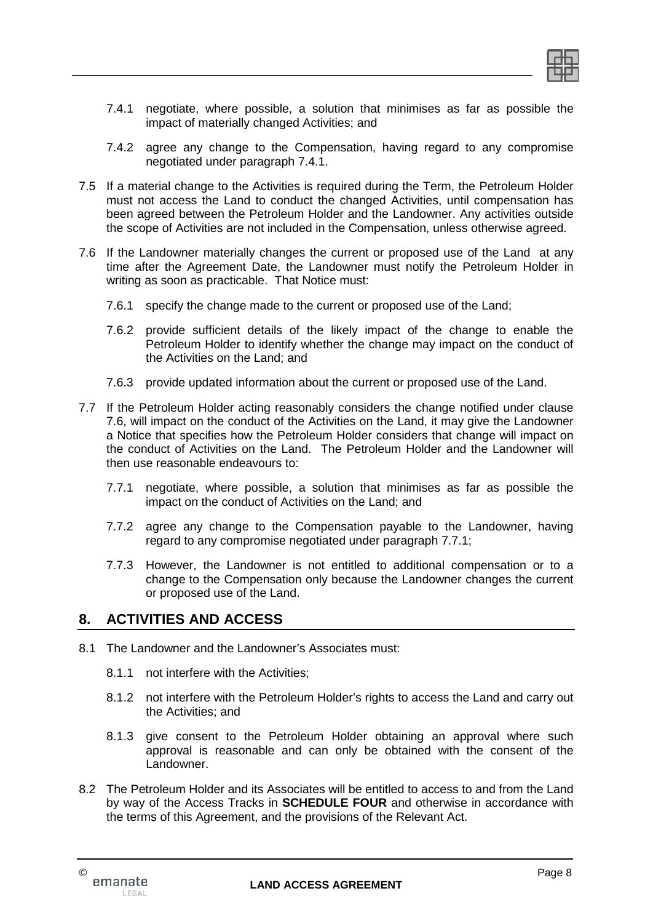

- 7.4.1 negotiate, where possible, a solution that minimises as far as possible the impact of materially changed Activities; and
- 7.4.2 agree any change to the Compensation, having regard to any compromise negotiated under paragraph 7.4.1.
- 7.5 If a material change to the Activities is required during the Term, the Petroleum Holder must not access the Land to conduct the changed Activities, until compensation has been agreed between the Petroleum Holder and the Landowner. Any activities outside the scope of Activities are not included in the Compensation, unless otherwise agreed.
- 7.6 If the Landowner materially changes the current or proposed use of the Land at any time after the Agreement Date, the Landowner must notify the Petroleum Holder in writing as soon as practicable. That Notice must:
	- 7.6.1 specify the change made to the current or proposed use of the Land;
	- 7.6.2 provide sufficient details of the likely impact of the change to enable the Petroleum Holder to identify whether the change may impact on the conduct of the Activities on the Land; and
	- 7.6.3 provide updated information about the current or proposed use of the Land.
- 7.7 If the Petroleum Holder acting reasonably considers the change notified under clause 7.6, will impact on the conduct of the Activities on the Land, it may give the Landowner a Notice that specifies how the Petroleum Holder considers that change will impact on the conduct of Activities on the Land. The Petroleum Holder and the Landowner will then use reasonable endeavours to:
	- 7.7.1 negotiate, where possible, a solution that minimises as far as possible the impact on the conduct of Activities on the Land; and
	- 7.7.2 agree any change to the Compensation payable to the Landowner, having regard to any compromise negotiated under paragraph 7.7.1;
	- 7.7.3 However, the Landowner is not entitled to additional compensation or to a change to the Compensation only because the Landowner changes the current or proposed use of the Land.

# **8. ACTIVITIES AND ACCESS**

- 8.1 The Landowner and the Landowner's Associates must:
	- 8.1.1 not interfere with the Activities;
	- 8.1.2 not interfere with the Petroleum Holder's rights to access the Land and carry out the Activities; and
	- 8.1.3 give consent to the Petroleum Holder obtaining an approval where such approval is reasonable and can only be obtained with the consent of the Landowner.
- 8.2 The Petroleum Holder and its Associates will be entitled to access to and from the Land by way of the Access Tracks in **SCHEDULE FOUR** and otherwise in accordance with the terms of this Agreement, and the provisions of the Relevant Act.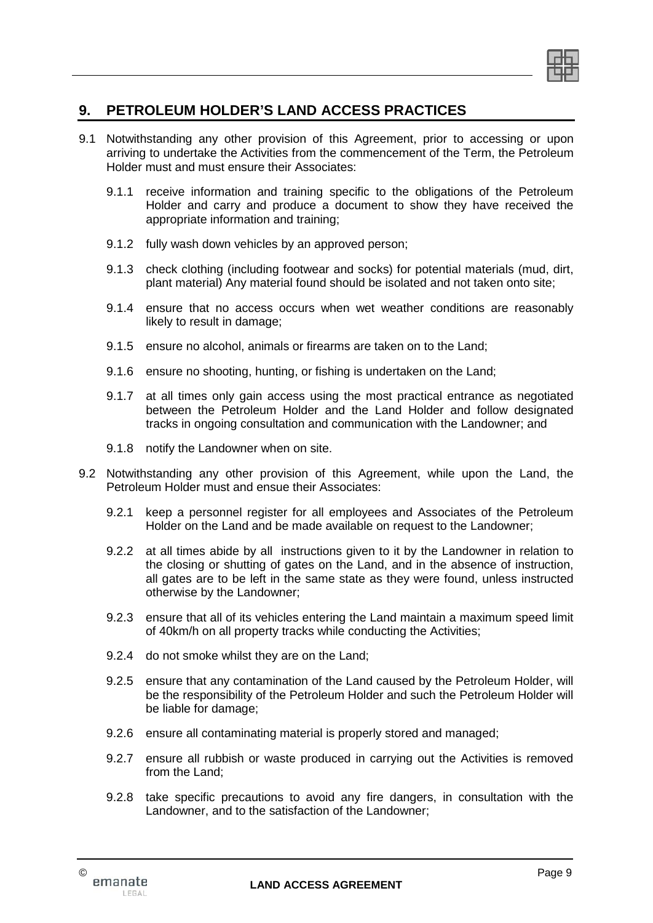

# **9. PETROLEUM HOLDER'S LAND ACCESS PRACTICES**

- 9.1 Notwithstanding any other provision of this Agreement, prior to accessing or upon arriving to undertake the Activities from the commencement of the Term, the Petroleum Holder must and must ensure their Associates:
	- 9.1.1 receive information and training specific to the obligations of the Petroleum Holder and carry and produce a document to show they have received the appropriate information and training;
	- 9.1.2 fully wash down vehicles by an approved person;
	- 9.1.3 check clothing (including footwear and socks) for potential materials (mud, dirt, plant material) Any material found should be isolated and not taken onto site;
	- 9.1.4 ensure that no access occurs when wet weather conditions are reasonably likely to result in damage;
	- 9.1.5 ensure no alcohol, animals or firearms are taken on to the Land;
	- 9.1.6 ensure no shooting, hunting, or fishing is undertaken on the Land;
	- 9.1.7 at all times only gain access using the most practical entrance as negotiated between the Petroleum Holder and the Land Holder and follow designated tracks in ongoing consultation and communication with the Landowner; and
	- 9.1.8 notify the Landowner when on site.
- 9.2 Notwithstanding any other provision of this Agreement, while upon the Land, the Petroleum Holder must and ensue their Associates:
	- 9.2.1 keep a personnel register for all employees and Associates of the Petroleum Holder on the Land and be made available on request to the Landowner;
	- 9.2.2 at all times abide by all instructions given to it by the Landowner in relation to the closing or shutting of gates on the Land, and in the absence of instruction, all gates are to be left in the same state as they were found, unless instructed otherwise by the Landowner;
	- 9.2.3 ensure that all of its vehicles entering the Land maintain a maximum speed limit of 40km/h on all property tracks while conducting the Activities;
	- 9.2.4 do not smoke whilst they are on the Land;
	- 9.2.5 ensure that any contamination of the Land caused by the Petroleum Holder, will be the responsibility of the Petroleum Holder and such the Petroleum Holder will be liable for damage;
	- 9.2.6 ensure all contaminating material is properly stored and managed;
	- 9.2.7 ensure all rubbish or waste produced in carrying out the Activities is removed from the Land;
	- 9.2.8 take specific precautions to avoid any fire dangers, in consultation with the Landowner, and to the satisfaction of the Landowner;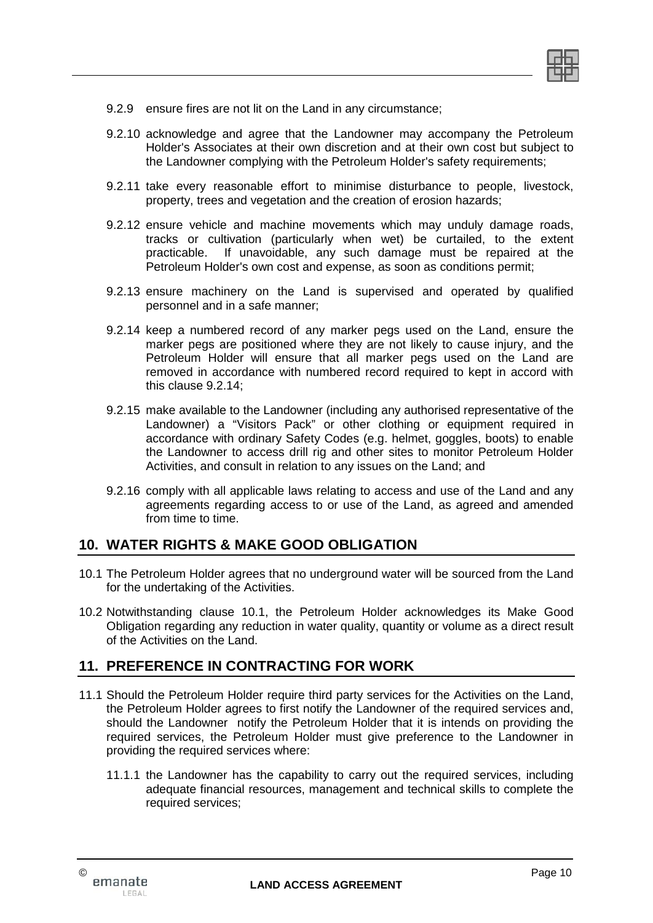- 9.2.9 ensure fires are not lit on the Land in any circumstance;
- 9.2.10 acknowledge and agree that the Landowner may accompany the Petroleum Holder's Associates at their own discretion and at their own cost but subject to the Landowner complying with the Petroleum Holder's safety requirements;
- 9.2.11 take every reasonable effort to minimise disturbance to people, livestock, property, trees and vegetation and the creation of erosion hazards;
- 9.2.12 ensure vehicle and machine movements which may unduly damage roads, tracks or cultivation (particularly when wet) be curtailed, to the extent practicable. If unavoidable, any such damage must be repaired at the Petroleum Holder's own cost and expense, as soon as conditions permit;
- 9.2.13 ensure machinery on the Land is supervised and operated by qualified personnel and in a safe manner;
- 9.2.14 keep a numbered record of any marker pegs used on the Land, ensure the marker pegs are positioned where they are not likely to cause injury, and the Petroleum Holder will ensure that all marker pegs used on the Land are removed in accordance with numbered record required to kept in accord with this clause 9.2.14;
- 9.2.15 make available to the Landowner (including any authorised representative of the Landowner) a "Visitors Pack" or other clothing or equipment required in accordance with ordinary Safety Codes (e.g. helmet, goggles, boots) to enable the Landowner to access drill rig and other sites to monitor Petroleum Holder Activities, and consult in relation to any issues on the Land; and
- 9.2.16 comply with all applicable laws relating to access and use of the Land and any agreements regarding access to or use of the Land, as agreed and amended from time to time.

# **10. WATER RIGHTS & MAKE GOOD OBLIGATION**

- 10.1 The Petroleum Holder agrees that no underground water will be sourced from the Land for the undertaking of the Activities.
- 10.2 Notwithstanding clause 10.1, the Petroleum Holder acknowledges its Make Good Obligation regarding any reduction in water quality, quantity or volume as a direct result of the Activities on the Land.

# **11. PREFERENCE IN CONTRACTING FOR WORK**

- 11.1 Should the Petroleum Holder require third party services for the Activities on the Land, the Petroleum Holder agrees to first notify the Landowner of the required services and, should the Landowner notify the Petroleum Holder that it is intends on providing the required services, the Petroleum Holder must give preference to the Landowner in providing the required services where:
	- 11.1.1 the Landowner has the capability to carry out the required services, including adequate financial resources, management and technical skills to complete the required services;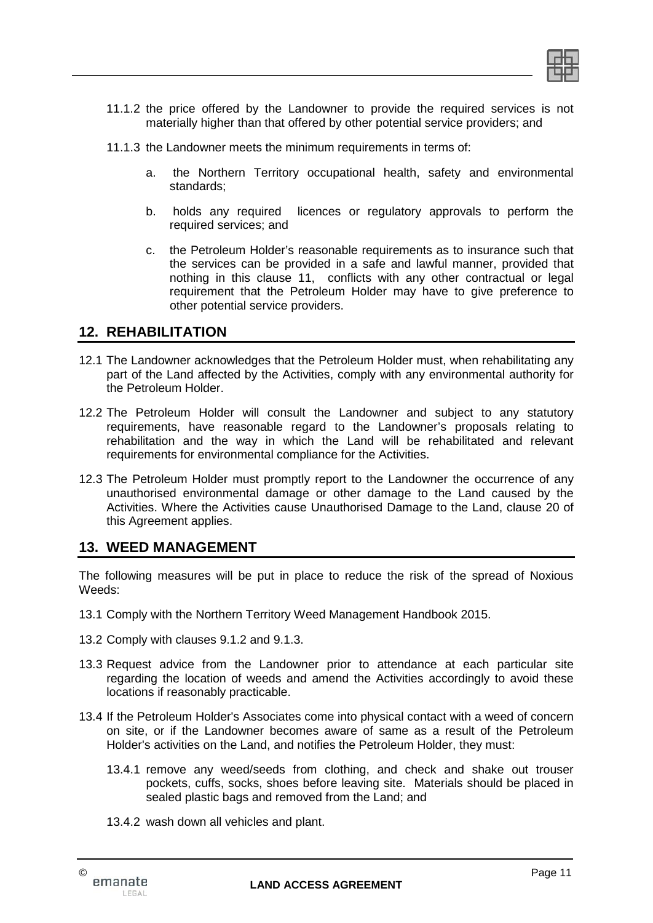

- 11.1.2 the price offered by the Landowner to provide the required services is not materially higher than that offered by other potential service providers; and
- 11.1.3 the Landowner meets the minimum requirements in terms of:
	- a. the Northern Territory occupational health, safety and environmental standards;
	- b. holds any required licences or regulatory approvals to perform the required services; and
	- c. the Petroleum Holder's reasonable requirements as to insurance such that the services can be provided in a safe and lawful manner, provided that nothing in this clause 11, conflicts with any other contractual or legal requirement that the Petroleum Holder may have to give preference to other potential service providers.

# **12. REHABILITATION**

- 12.1 The Landowner acknowledges that the Petroleum Holder must, when rehabilitating any part of the Land affected by the Activities, comply with any environmental authority for the Petroleum Holder.
- 12.2 The Petroleum Holder will consult the Landowner and subject to any statutory requirements, have reasonable regard to the Landowner's proposals relating to rehabilitation and the way in which the Land will be rehabilitated and relevant requirements for environmental compliance for the Activities.
- 12.3 The Petroleum Holder must promptly report to the Landowner the occurrence of any unauthorised environmental damage or other damage to the Land caused by the Activities. Where the Activities cause Unauthorised Damage to the Land, clause 20 of this Agreement applies.

# **13. WEED MANAGEMENT**

The following measures will be put in place to reduce the risk of the spread of Noxious Weeds:

- 13.1 Comply with the Northern Territory Weed Management Handbook 2015.
- 13.2 Comply with clauses 9.1.2 and 9.1.3.
- 13.3 Request advice from the Landowner prior to attendance at each particular site regarding the location of weeds and amend the Activities accordingly to avoid these locations if reasonably practicable.
- 13.4 If the Petroleum Holder's Associates come into physical contact with a weed of concern on site, or if the Landowner becomes aware of same as a result of the Petroleum Holder's activities on the Land, and notifies the Petroleum Holder, they must:
	- 13.4.1 remove any weed/seeds from clothing, and check and shake out trouser pockets, cuffs, socks, shoes before leaving site. Materials should be placed in sealed plastic bags and removed from the Land; and
	- 13.4.2 wash down all vehicles and plant.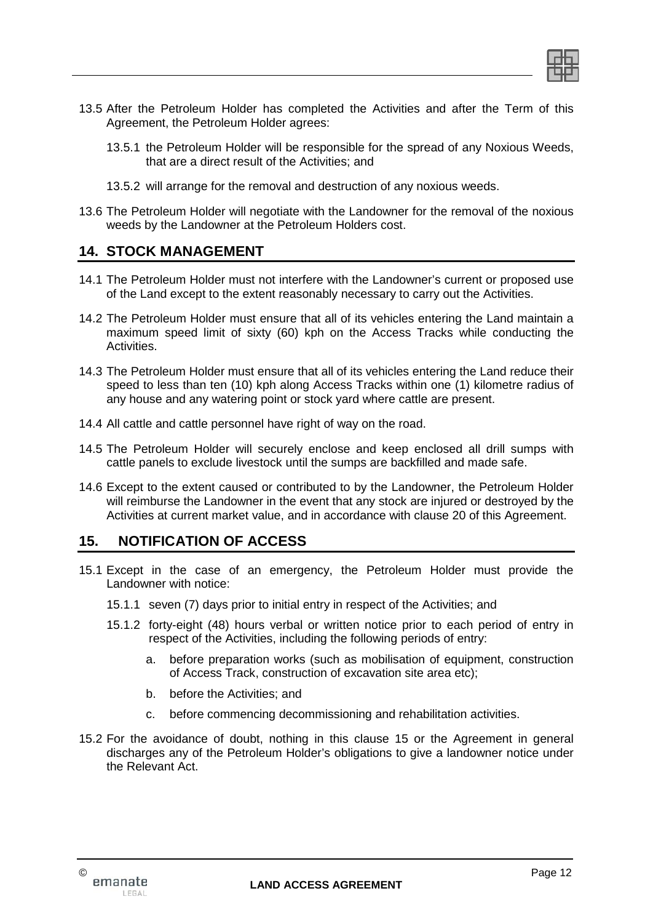

- 13.5 After the Petroleum Holder has completed the Activities and after the Term of this Agreement, the Petroleum Holder agrees:
	- 13.5.1 the Petroleum Holder will be responsible for the spread of any Noxious Weeds, that are a direct result of the Activities; and
	- 13.5.2 will arrange for the removal and destruction of any noxious weeds.
- 13.6 The Petroleum Holder will negotiate with the Landowner for the removal of the noxious weeds by the Landowner at the Petroleum Holders cost.

# **14. STOCK MANAGEMENT**

- 14.1 The Petroleum Holder must not interfere with the Landowner's current or proposed use of the Land except to the extent reasonably necessary to carry out the Activities.
- 14.2 The Petroleum Holder must ensure that all of its vehicles entering the Land maintain a maximum speed limit of sixty (60) kph on the Access Tracks while conducting the Activities.
- 14.3 The Petroleum Holder must ensure that all of its vehicles entering the Land reduce their speed to less than ten (10) kph along Access Tracks within one (1) kilometre radius of any house and any watering point or stock yard where cattle are present.
- 14.4 All cattle and cattle personnel have right of way on the road.
- 14.5 The Petroleum Holder will securely enclose and keep enclosed all drill sumps with cattle panels to exclude livestock until the sumps are backfilled and made safe.
- 14.6 Except to the extent caused or contributed to by the Landowner, the Petroleum Holder will reimburse the Landowner in the event that any stock are injured or destroyed by the Activities at current market value, and in accordance with clause 20 of this Agreement.

# **15. NOTIFICATION OF ACCESS**

- 15.1 Except in the case of an emergency, the Petroleum Holder must provide the Landowner with notice:
	- 15.1.1 seven (7) days prior to initial entry in respect of the Activities; and
	- 15.1.2 forty-eight (48) hours verbal or written notice prior to each period of entry in respect of the Activities, including the following periods of entry:
		- a. before preparation works (such as mobilisation of equipment, construction of Access Track, construction of excavation site area etc);
		- b. before the Activities; and
		- c. before commencing decommissioning and rehabilitation activities.
- 15.2 For the avoidance of doubt, nothing in this clause 15 or the Agreement in general discharges any of the Petroleum Holder's obligations to give a landowner notice under the Relevant Act.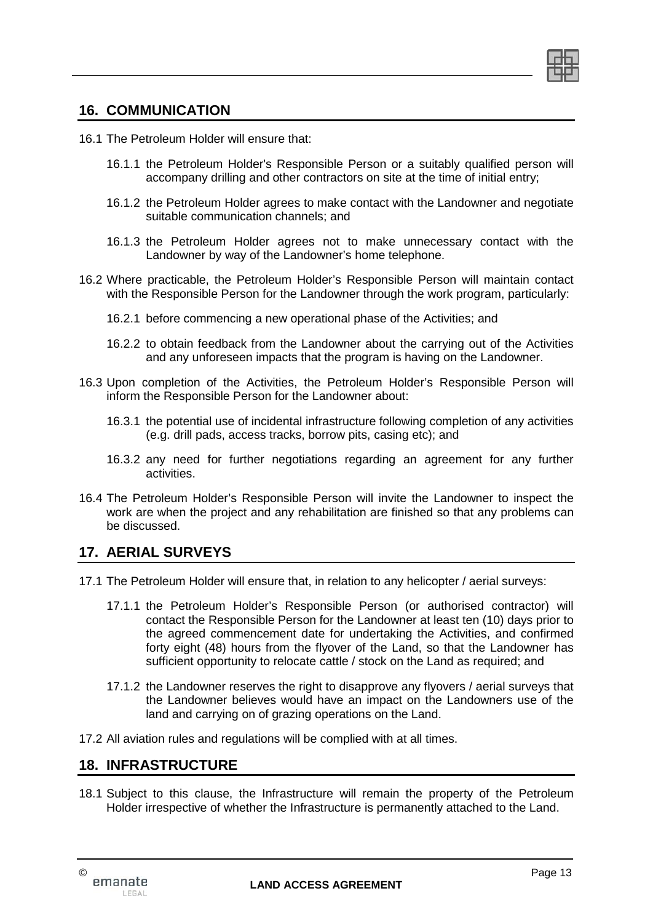

# **16. COMMUNICATION**

- 16.1 The Petroleum Holder will ensure that:
	- 16.1.1 the Petroleum Holder's Responsible Person or a suitably qualified person will accompany drilling and other contractors on site at the time of initial entry;
	- 16.1.2 the Petroleum Holder agrees to make contact with the Landowner and negotiate suitable communication channels; and
	- 16.1.3 the Petroleum Holder agrees not to make unnecessary contact with the Landowner by way of the Landowner's home telephone.
- 16.2 Where practicable, the Petroleum Holder's Responsible Person will maintain contact with the Responsible Person for the Landowner through the work program, particularly:
	- 16.2.1 before commencing a new operational phase of the Activities; and
	- 16.2.2 to obtain feedback from the Landowner about the carrying out of the Activities and any unforeseen impacts that the program is having on the Landowner.
- 16.3 Upon completion of the Activities, the Petroleum Holder's Responsible Person will inform the Responsible Person for the Landowner about:
	- 16.3.1 the potential use of incidental infrastructure following completion of any activities (e.g. drill pads, access tracks, borrow pits, casing etc); and
	- 16.3.2 any need for further negotiations regarding an agreement for any further activities.
- 16.4 The Petroleum Holder's Responsible Person will invite the Landowner to inspect the work are when the project and any rehabilitation are finished so that any problems can be discussed.

## **17. AERIAL SURVEYS**

- 17.1 The Petroleum Holder will ensure that, in relation to any helicopter / aerial surveys:
	- 17.1.1 the Petroleum Holder's Responsible Person (or authorised contractor) will contact the Responsible Person for the Landowner at least ten (10) days prior to the agreed commencement date for undertaking the Activities, and confirmed forty eight (48) hours from the flyover of the Land, so that the Landowner has sufficient opportunity to relocate cattle / stock on the Land as required; and
	- 17.1.2 the Landowner reserves the right to disapprove any flyovers / aerial surveys that the Landowner believes would have an impact on the Landowners use of the land and carrying on of grazing operations on the Land.
- 17.2 All aviation rules and regulations will be complied with at all times.

## **18. INFRASTRUCTURE**

18.1 Subject to this clause, the Infrastructure will remain the property of the Petroleum Holder irrespective of whether the Infrastructure is permanently attached to the Land.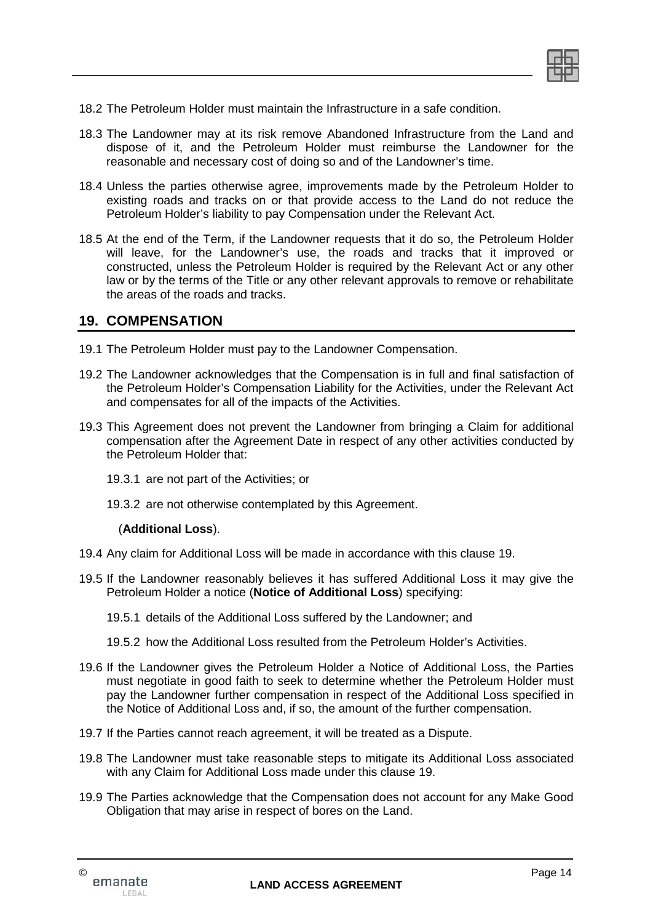

- 18.2 The Petroleum Holder must maintain the Infrastructure in a safe condition.
- 18.3 The Landowner may at its risk remove Abandoned Infrastructure from the Land and dispose of it, and the Petroleum Holder must reimburse the Landowner for the reasonable and necessary cost of doing so and of the Landowner's time.
- 18.4 Unless the parties otherwise agree, improvements made by the Petroleum Holder to existing roads and tracks on or that provide access to the Land do not reduce the Petroleum Holder's liability to pay Compensation under the Relevant Act.
- 18.5 At the end of the Term, if the Landowner requests that it do so, the Petroleum Holder will leave, for the Landowner's use, the roads and tracks that it improved or constructed, unless the Petroleum Holder is required by the Relevant Act or any other law or by the terms of the Title or any other relevant approvals to remove or rehabilitate the areas of the roads and tracks.

## **19. COMPENSATION**

- 19.1 The Petroleum Holder must pay to the Landowner Compensation.
- 19.2 The Landowner acknowledges that the Compensation is in full and final satisfaction of the Petroleum Holder's Compensation Liability for the Activities, under the Relevant Act and compensates for all of the impacts of the Activities.
- 19.3 This Agreement does not prevent the Landowner from bringing a Claim for additional compensation after the Agreement Date in respect of any other activities conducted by the Petroleum Holder that:
	- 19.3.1 are not part of the Activities; or
	- 19.3.2 are not otherwise contemplated by this Agreement.

#### (**Additional Loss**).

- 19.4 Any claim for Additional Loss will be made in accordance with this clause 19.
- 19.5 If the Landowner reasonably believes it has suffered Additional Loss it may give the Petroleum Holder a notice (**Notice of Additional Loss**) specifying:
	- 19.5.1 details of the Additional Loss suffered by the Landowner; and
	- 19.5.2 how the Additional Loss resulted from the Petroleum Holder's Activities.
- 19.6 If the Landowner gives the Petroleum Holder a Notice of Additional Loss, the Parties must negotiate in good faith to seek to determine whether the Petroleum Holder must pay the Landowner further compensation in respect of the Additional Loss specified in the Notice of Additional Loss and, if so, the amount of the further compensation.
- 19.7 If the Parties cannot reach agreement, it will be treated as a Dispute.
- 19.8 The Landowner must take reasonable steps to mitigate its Additional Loss associated with any Claim for Additional Loss made under this clause 19.
- 19.9 The Parties acknowledge that the Compensation does not account for any Make Good Obligation that may arise in respect of bores on the Land.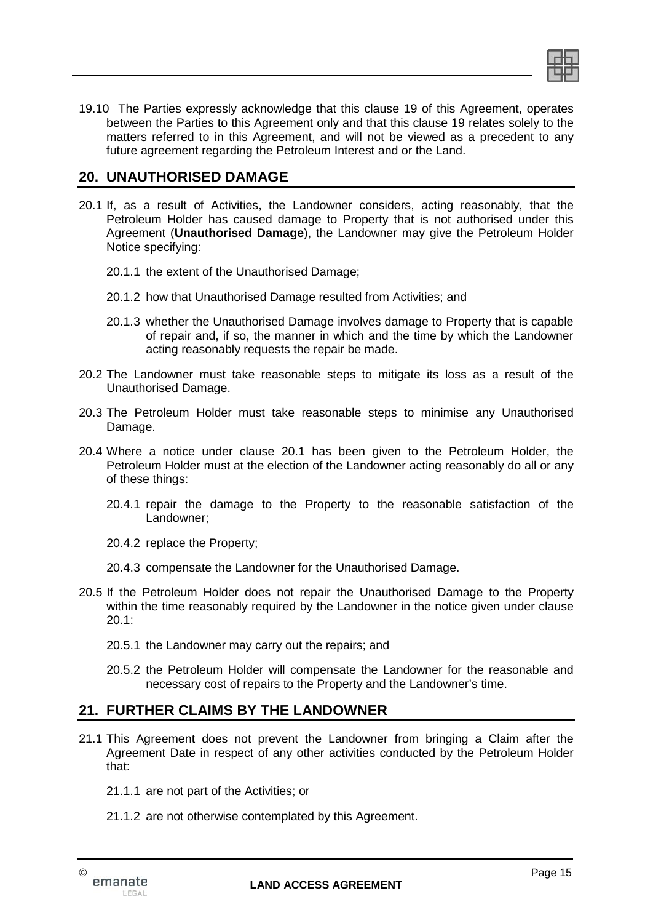

19.10 The Parties expressly acknowledge that this clause 19 of this Agreement, operates between the Parties to this Agreement only and that this clause 19 relates solely to the matters referred to in this Agreement, and will not be viewed as a precedent to any future agreement regarding the Petroleum Interest and or the Land.

# **20. UNAUTHORISED DAMAGE**

- 20.1 If, as a result of Activities, the Landowner considers, acting reasonably, that the Petroleum Holder has caused damage to Property that is not authorised under this Agreement (**Unauthorised Damage**), the Landowner may give the Petroleum Holder Notice specifying:
	- 20.1.1 the extent of the Unauthorised Damage;
	- 20.1.2 how that Unauthorised Damage resulted from Activities; and
	- 20.1.3 whether the Unauthorised Damage involves damage to Property that is capable of repair and, if so, the manner in which and the time by which the Landowner acting reasonably requests the repair be made.
- 20.2 The Landowner must take reasonable steps to mitigate its loss as a result of the Unauthorised Damage.
- 20.3 The Petroleum Holder must take reasonable steps to minimise any Unauthorised Damage.
- 20.4 Where a notice under clause 20.1 has been given to the Petroleum Holder, the Petroleum Holder must at the election of the Landowner acting reasonably do all or any of these things:
	- 20.4.1 repair the damage to the Property to the reasonable satisfaction of the Landowner;
	- 20.4.2 replace the Property;
	- 20.4.3 compensate the Landowner for the Unauthorised Damage.
- 20.5 If the Petroleum Holder does not repair the Unauthorised Damage to the Property within the time reasonably required by the Landowner in the notice given under clause 20.1:
	- 20.5.1 the Landowner may carry out the repairs; and
	- 20.5.2 the Petroleum Holder will compensate the Landowner for the reasonable and necessary cost of repairs to the Property and the Landowner's time.

## **21. FURTHER CLAIMS BY THE LANDOWNER**

- 21.1 This Agreement does not prevent the Landowner from bringing a Claim after the Agreement Date in respect of any other activities conducted by the Petroleum Holder that:
	- 21.1.1 are not part of the Activities; or
	- 21.1.2 are not otherwise contemplated by this Agreement.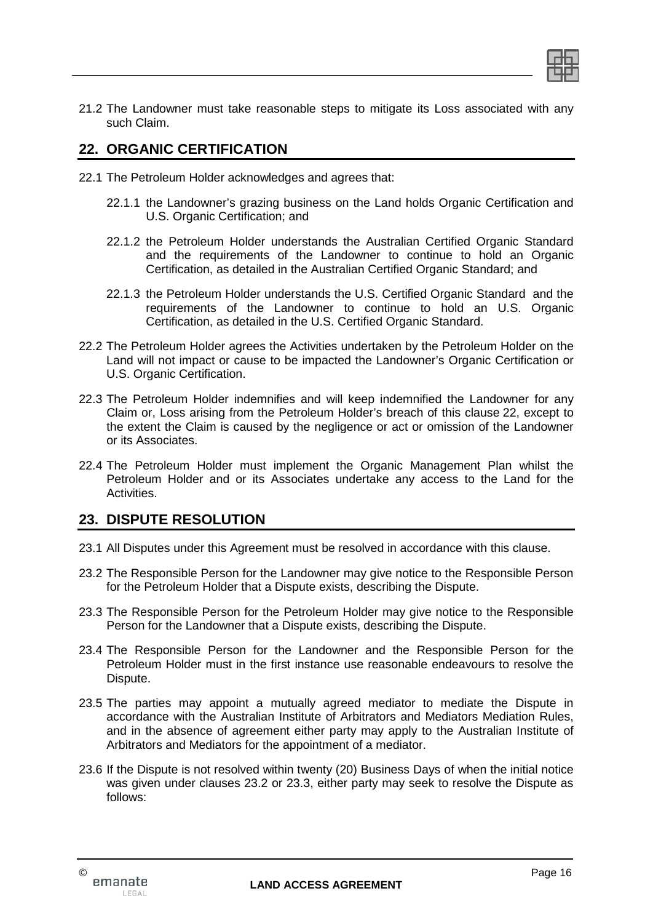

21.2 The Landowner must take reasonable steps to mitigate its Loss associated with any such Claim.

# **22. ORGANIC CERTIFICATION**

- 22.1 The Petroleum Holder acknowledges and agrees that:
	- 22.1.1 the Landowner's grazing business on the Land holds Organic Certification and U.S. Organic Certification; and
	- 22.1.2 the Petroleum Holder understands the Australian Certified Organic Standard and the requirements of the Landowner to continue to hold an Organic Certification, as detailed in the Australian Certified Organic Standard; and
	- 22.1.3 the Petroleum Holder understands the U.S. Certified Organic Standard and the requirements of the Landowner to continue to hold an U.S. Organic Certification, as detailed in the U.S. Certified Organic Standard.
- 22.2 The Petroleum Holder agrees the Activities undertaken by the Petroleum Holder on the Land will not impact or cause to be impacted the Landowner's Organic Certification or U.S. Organic Certification.
- 22.3 The Petroleum Holder indemnifies and will keep indemnified the Landowner for any Claim or, Loss arising from the Petroleum Holder's breach of this clause 22, except to the extent the Claim is caused by the negligence or act or omission of the Landowner or its Associates.
- 22.4 The Petroleum Holder must implement the Organic Management Plan whilst the Petroleum Holder and or its Associates undertake any access to the Land for the Activities.

# **23. DISPUTE RESOLUTION**

- 23.1 All Disputes under this Agreement must be resolved in accordance with this clause.
- 23.2 The Responsible Person for the Landowner may give notice to the Responsible Person for the Petroleum Holder that a Dispute exists, describing the Dispute.
- 23.3 The Responsible Person for the Petroleum Holder may give notice to the Responsible Person for the Landowner that a Dispute exists, describing the Dispute.
- 23.4 The Responsible Person for the Landowner and the Responsible Person for the Petroleum Holder must in the first instance use reasonable endeavours to resolve the Dispute.
- 23.5 The parties may appoint a mutually agreed mediator to mediate the Dispute in accordance with the Australian Institute of Arbitrators and Mediators Mediation Rules, and in the absence of agreement either party may apply to the Australian Institute of Arbitrators and Mediators for the appointment of a mediator.
- 23.6 If the Dispute is not resolved within twenty (20) Business Days of when the initial notice was given under clauses 23.2 or 23.3, either party may seek to resolve the Dispute as follows: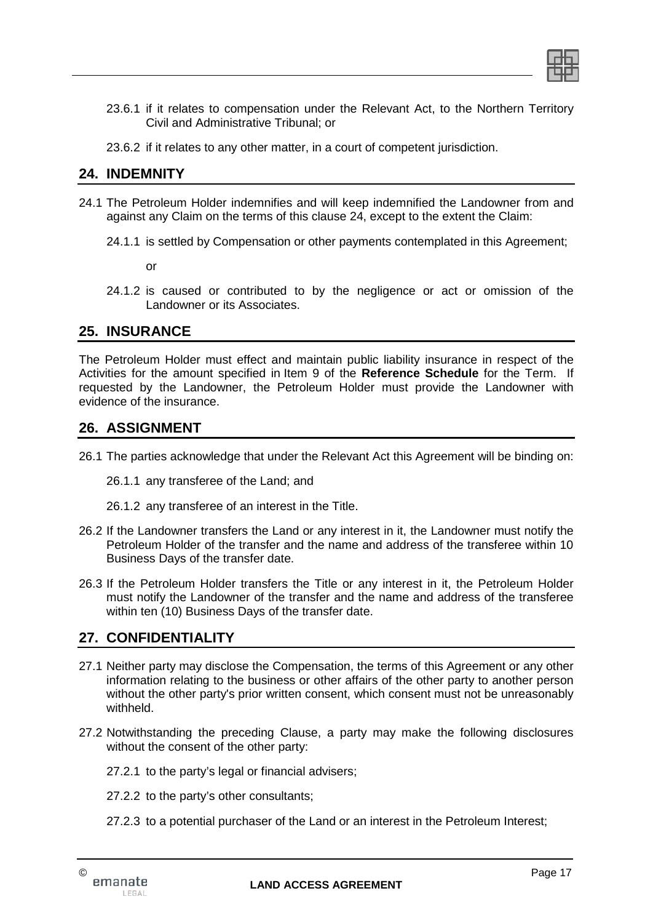- 23.6.1 if it relates to compensation under the Relevant Act, to the Northern Territory Civil and Administrative Tribunal; or
- 23.6.2 if it relates to any other matter, in a court of competent jurisdiction.

# **24. INDEMNITY**

- 24.1 The Petroleum Holder indemnifies and will keep indemnified the Landowner from and against any Claim on the terms of this clause 24, except to the extent the Claim:
	- 24.1.1 is settled by Compensation or other payments contemplated in this Agreement;

or

24.1.2 is caused or contributed to by the negligence or act or omission of the Landowner or its Associates.

# **25. INSURANCE**

The Petroleum Holder must effect and maintain public liability insurance in respect of the Activities for the amount specified in Item 9 of the **Reference Schedule** for the Term. If requested by the Landowner, the Petroleum Holder must provide the Landowner with evidence of the insurance.

## **26. ASSIGNMENT**

26.1 The parties acknowledge that under the Relevant Act this Agreement will be binding on:

26.1.1 any transferee of the Land; and

26.1.2 any transferee of an interest in the Title.

- 26.2 If the Landowner transfers the Land or any interest in it, the Landowner must notify the Petroleum Holder of the transfer and the name and address of the transferee within 10 Business Days of the transfer date.
- 26.3 If the Petroleum Holder transfers the Title or any interest in it, the Petroleum Holder must notify the Landowner of the transfer and the name and address of the transferee within ten (10) Business Days of the transfer date.

# **27. CONFIDENTIALITY**

- 27.1 Neither party may disclose the Compensation, the terms of this Agreement or any other information relating to the business or other affairs of the other party to another person without the other party's prior written consent, which consent must not be unreasonably withheld.
- 27.2 Notwithstanding the preceding Clause, a party may make the following disclosures without the consent of the other party:
	- 27.2.1 to the party's legal or financial advisers;
	- 27.2.2 to the party's other consultants;
	- 27.2.3 to a potential purchaser of the Land or an interest in the Petroleum Interest;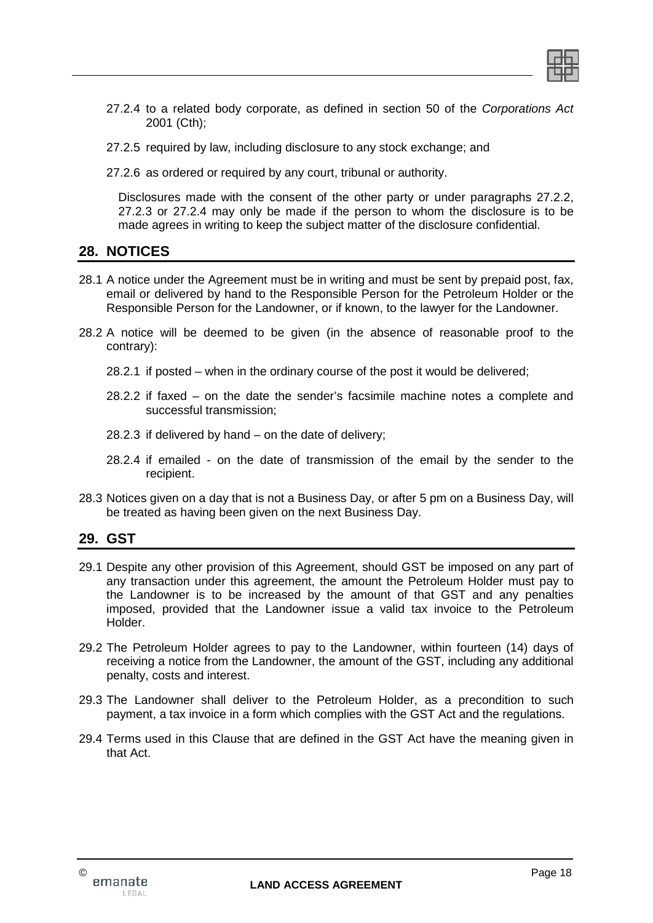

- 27.2.4 to a related body corporate, as defined in section 50 of the *Corporations Act* 2001 (Cth);
- 27.2.5 required by law, including disclosure to any stock exchange; and
- 27.2.6 as ordered or required by any court, tribunal or authority.

Disclosures made with the consent of the other party or under paragraphs 27.2.2, 27.2.3 or 27.2.4 may only be made if the person to whom the disclosure is to be made agrees in writing to keep the subject matter of the disclosure confidential.

# **28. NOTICES**

- 28.1 A notice under the Agreement must be in writing and must be sent by prepaid post, fax, email or delivered by hand to the Responsible Person for the Petroleum Holder or the Responsible Person for the Landowner, or if known, to the lawyer for the Landowner.
- 28.2 A notice will be deemed to be given (in the absence of reasonable proof to the contrary):
	- 28.2.1 if posted when in the ordinary course of the post it would be delivered;
	- 28.2.2 if faxed on the date the sender's facsimile machine notes a complete and successful transmission;
	- 28.2.3 if delivered by hand on the date of delivery;
	- 28.2.4 if emailed on the date of transmission of the email by the sender to the recipient.
- 28.3 Notices given on a day that is not a Business Day, or after 5 pm on a Business Day, will be treated as having been given on the next Business Day.

# **29. GST**

- 29.1 Despite any other provision of this Agreement, should GST be imposed on any part of any transaction under this agreement, the amount the Petroleum Holder must pay to the Landowner is to be increased by the amount of that GST and any penalties imposed, provided that the Landowner issue a valid tax invoice to the Petroleum Holder.
- 29.2 The Petroleum Holder agrees to pay to the Landowner, within fourteen (14) days of receiving a notice from the Landowner, the amount of the GST, including any additional penalty, costs and interest.
- 29.3 The Landowner shall deliver to the Petroleum Holder, as a precondition to such payment, a tax invoice in a form which complies with the GST Act and the regulations.
- 29.4 Terms used in this Clause that are defined in the GST Act have the meaning given in that Act.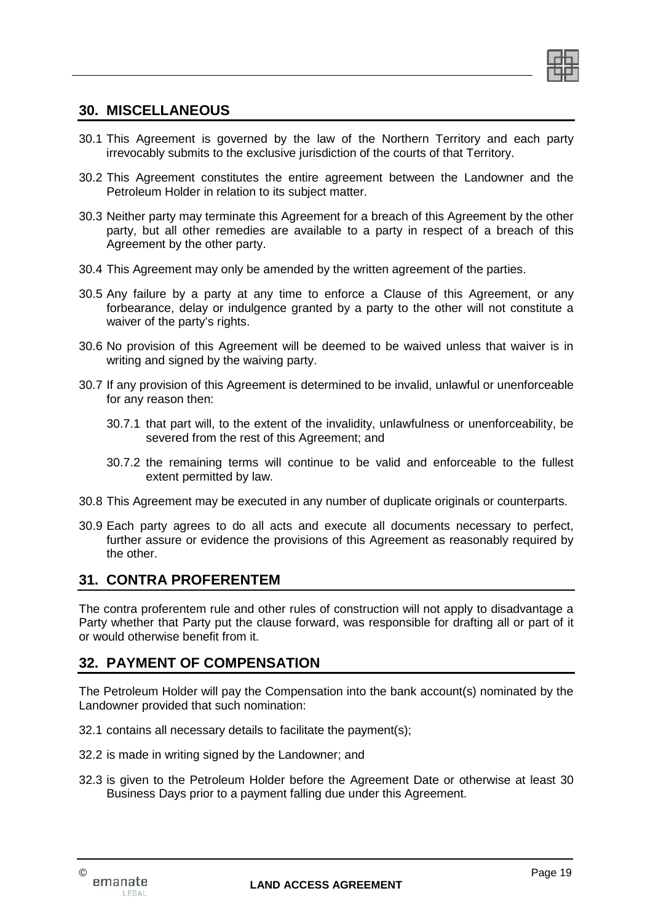

## **30. MISCELLANEOUS**

- 30.1 This Agreement is governed by the law of the Northern Territory and each party irrevocably submits to the exclusive jurisdiction of the courts of that Territory.
- 30.2 This Agreement constitutes the entire agreement between the Landowner and the Petroleum Holder in relation to its subject matter.
- 30.3 Neither party may terminate this Agreement for a breach of this Agreement by the other party, but all other remedies are available to a party in respect of a breach of this Agreement by the other party.
- 30.4 This Agreement may only be amended by the written agreement of the parties.
- 30.5 Any failure by a party at any time to enforce a Clause of this Agreement, or any forbearance, delay or indulgence granted by a party to the other will not constitute a waiver of the party's rights.
- 30.6 No provision of this Agreement will be deemed to be waived unless that waiver is in writing and signed by the waiving party.
- 30.7 If any provision of this Agreement is determined to be invalid, unlawful or unenforceable for any reason then:
	- 30.7.1 that part will, to the extent of the invalidity, unlawfulness or unenforceability, be severed from the rest of this Agreement; and
	- 30.7.2 the remaining terms will continue to be valid and enforceable to the fullest extent permitted by law.
- 30.8 This Agreement may be executed in any number of duplicate originals or counterparts.
- 30.9 Each party agrees to do all acts and execute all documents necessary to perfect, further assure or evidence the provisions of this Agreement as reasonably required by the other.

## **31. CONTRA PROFERENTEM**

The contra proferentem rule and other rules of construction will not apply to disadvantage a Party whether that Party put the clause forward, was responsible for drafting all or part of it or would otherwise benefit from it.

# **32. PAYMENT OF COMPENSATION**

The Petroleum Holder will pay the Compensation into the bank account(s) nominated by the Landowner provided that such nomination:

- 32.1 contains all necessary details to facilitate the payment(s);
- 32.2 is made in writing signed by the Landowner; and
- 32.3 is given to the Petroleum Holder before the Agreement Date or otherwise at least 30 Business Days prior to a payment falling due under this Agreement.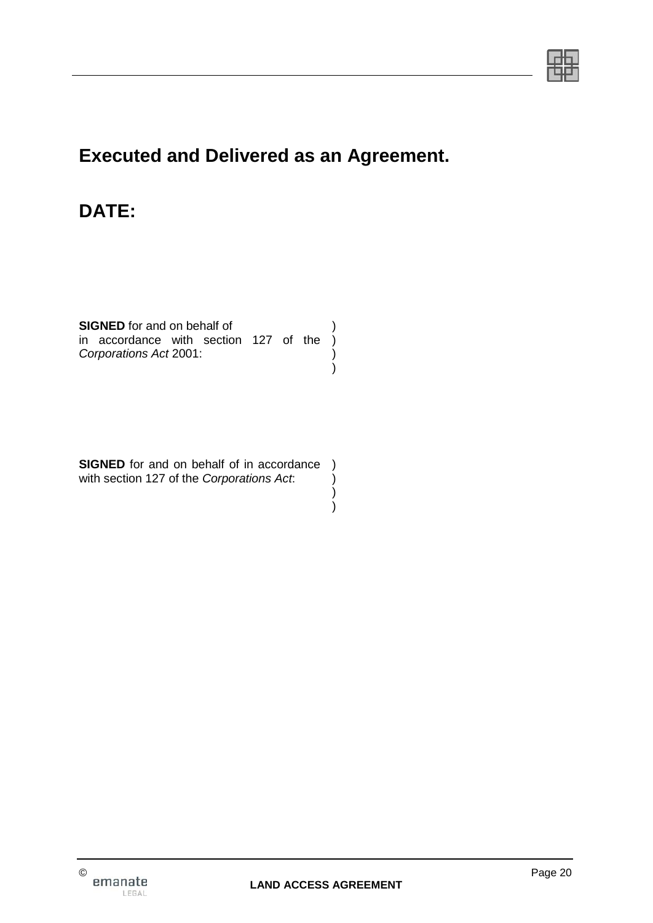

# **Executed and Delivered as an Agreement.**

# **DATE:**

**SIGNED** for and on behalf of in accordance with section 127 of the ) *Corporations Act* 2001: ) ) )

**SIGNED** for and on behalf of in accordance ) with section 127 of the *Corporations Act*: ) )

 $\overline{\phantom{a}}$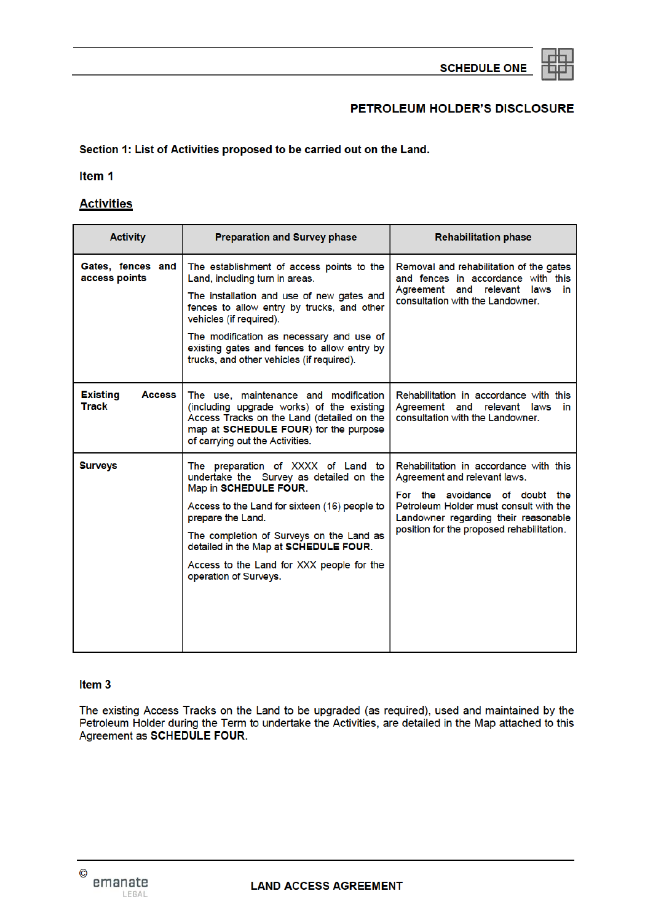

#### PETROLEUM HOLDER'S DISCLOSURE

Section 1: List of Activities proposed to be carried out on the Land.

Item<sub>1</sub>

#### **Activities**

| <b>Activity</b>                                  | <b>Preparation and Survey phase</b>                                                                                                                                                                                                                                                                                                       | <b>Rehabilitation phase</b>                                                                                                                                                                                                             |
|--------------------------------------------------|-------------------------------------------------------------------------------------------------------------------------------------------------------------------------------------------------------------------------------------------------------------------------------------------------------------------------------------------|-----------------------------------------------------------------------------------------------------------------------------------------------------------------------------------------------------------------------------------------|
| Gates, fences and<br>access points               | The establishment of access points to the<br>Land, including turn in areas.<br>The installation and use of new gates and<br>fences to allow entry by trucks, and other<br>vehicles (if required).<br>The modification as necessary and use of<br>existing gates and fences to allow entry by<br>trucks, and other vehicles (if required). | Removal and rehabilitation of the gates<br>and fences in accordance with this<br>Agreement and relevant laws<br>in.<br>consultation with the Landowner.                                                                                 |
| <b>Existing</b><br><b>Access</b><br><b>Track</b> | The use, maintenance and modification<br>(including upgrade works) of the existing<br>Access Tracks on the Land (detailed on the<br>map at SCHEDULE FOUR) for the purpose<br>of carrying out the Activities.                                                                                                                              | Rehabilitation in accordance with this<br>Agreement and relevant laws<br>in<br>consultation with the Landowner.                                                                                                                         |
| <b>Surveys</b>                                   | The preparation of XXXX of Land to<br>undertake the Survey as detailed on the<br>Map in SCHEDULE FOUR.<br>Access to the Land for sixteen (16) people to<br>prepare the Land.<br>The completion of Surveys on the Land as<br>detailed in the Map at SCHEDULE FOUR.<br>Access to the Land for XXX people for the<br>operation of Surveys.   | Rehabilitation in accordance with this<br>Agreement and relevant laws.<br>For the avoidance of doubt the<br>Petroleum Holder must consult with the<br>Landowner regarding their reasonable<br>position for the proposed rehabilitation. |

#### Item<sub>3</sub>

The existing Access Tracks on the Land to be upgraded (as required), used and maintained by the Petroleum Holder during the Term to undertake the Activities, are detailed in the Map attached to this Agreement as SCHEDULE FOUR.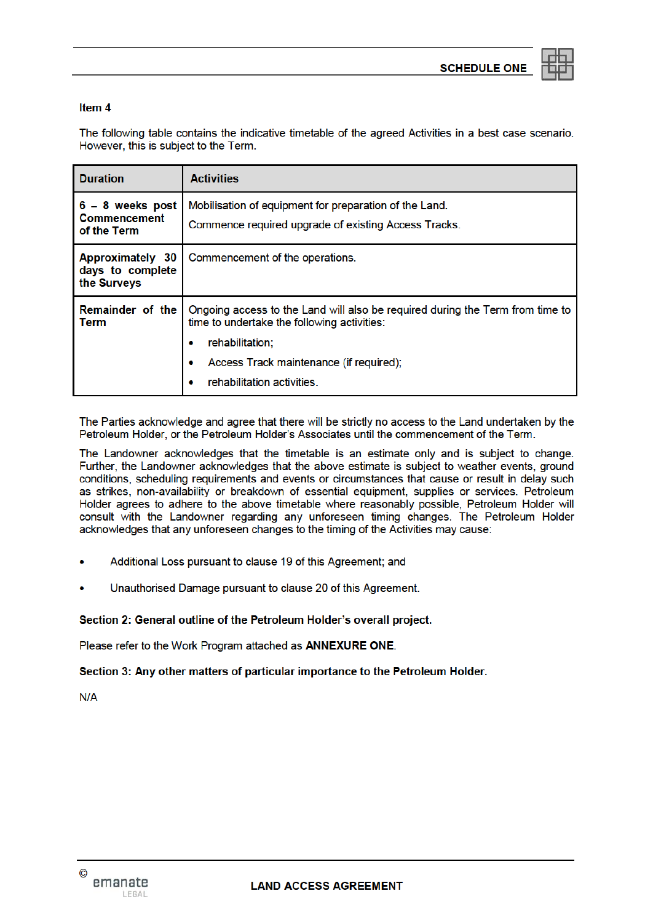

#### Item 4

The following table contains the indicative timetable of the agreed Activities in a best case scenario. However, this is subject to the Term.

| <b>Duration</b>                                            | <b>Activities</b>                                                                                                                                                                                                                  |
|------------------------------------------------------------|------------------------------------------------------------------------------------------------------------------------------------------------------------------------------------------------------------------------------------|
| $6 - 8$ weeks post<br><b>Commencement</b><br>of the Term   | Mobilisation of equipment for preparation of the Land.<br>Commence required upgrade of existing Access Tracks.                                                                                                                     |
| <b>Approximately 30</b><br>days to complete<br>the Surveys | Commencement of the operations.                                                                                                                                                                                                    |
| <b>Remainder of the</b><br><b>Term</b>                     | Ongoing access to the Land will also be required during the Term from time to<br>time to undertake the following activities:<br>rehabilitation;<br>Access Track maintenance (if required);<br>۰<br>rehabilitation activities.<br>۰ |

The Parties acknowledge and agree that there will be strictly no access to the Land undertaken by the Petroleum Holder, or the Petroleum Holder's Associates until the commencement of the Term.

The Landowner acknowledges that the timetable is an estimate only and is subject to change. Further, the Landowner acknowledges that the above estimate is subject to weather events, ground conditions, scheduling requirements and events or circumstances that cause or result in delay such as strikes, non-availability or breakdown of essential equipment, supplies or services. Petroleum Holder agrees to adhere to the above timetable where reasonably possible, Petroleum Holder will consult with the Landowner regarding any unforeseen timing changes. The Petroleum Holder acknowledges that any unforeseen changes to the timing of the Activities may cause:

- Additional Loss pursuant to clause 19 of this Agreement; and
- Unauthorised Damage pursuant to clause 20 of this Agreement.

Section 2: General outline of the Petroleum Holder's overall project.

Please refer to the Work Program attached as ANNEXURE ONE.

Section 3: Any other matters of particular importance to the Petroleum Holder.

 $N/A$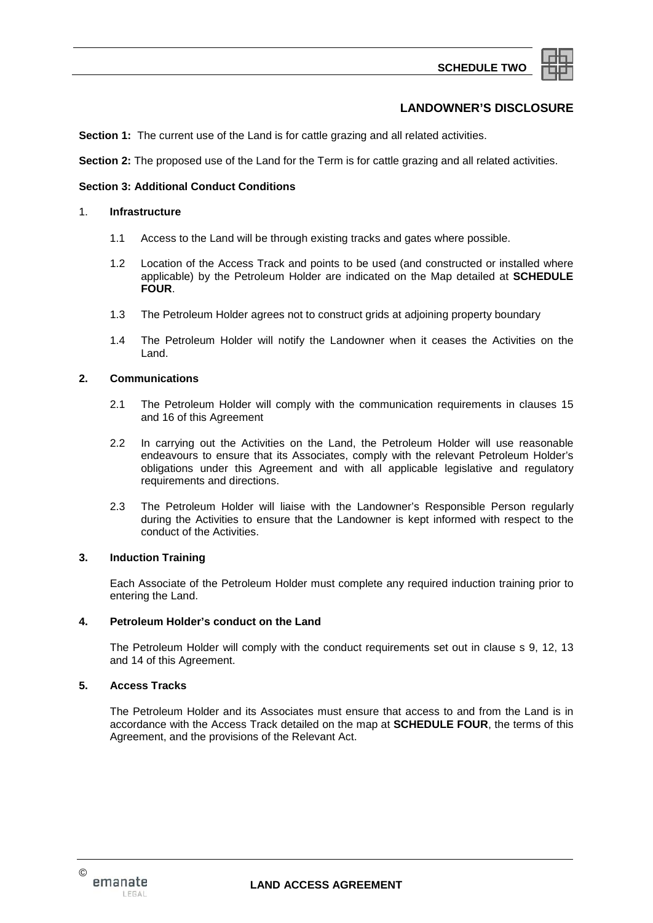

#### **LANDOWNER'S DISCLOSURE**

**Section 1:** The current use of the Land is for cattle grazing and all related activities.

**Section 2:** The proposed use of the Land for the Term is for cattle grazing and all related activities.

#### **Section 3: Additional Conduct Conditions**

#### 1. **Infrastructure**

- 1.1 Access to the Land will be through existing tracks and gates where possible.
- 1.2 Location of the Access Track and points to be used (and constructed or installed where applicable) by the Petroleum Holder are indicated on the Map detailed at **SCHEDULE FOUR**.
- 1.3 The Petroleum Holder agrees not to construct grids at adjoining property boundary
- 1.4 The Petroleum Holder will notify the Landowner when it ceases the Activities on the Land.

#### **2. Communications**

- 2.1 The Petroleum Holder will comply with the communication requirements in clauses 15 and 16 of this Agreement
- 2.2 In carrying out the Activities on the Land, the Petroleum Holder will use reasonable endeavours to ensure that its Associates, comply with the relevant Petroleum Holder's obligations under this Agreement and with all applicable legislative and regulatory requirements and directions.
- 2.3 The Petroleum Holder will liaise with the Landowner's Responsible Person regularly during the Activities to ensure that the Landowner is kept informed with respect to the conduct of the Activities.

#### **3. Induction Training**

Each Associate of the Petroleum Holder must complete any required induction training prior to entering the Land.

#### **4. Petroleum Holder's conduct on the Land**

The Petroleum Holder will comply with the conduct requirements set out in clause s 9, 12, 13 and 14 of this Agreement.

#### **5. Access Tracks**

The Petroleum Holder and its Associates must ensure that access to and from the Land is in accordance with the Access Track detailed on the map at **SCHEDULE FOUR**, the terms of this Agreement, and the provisions of the Relevant Act.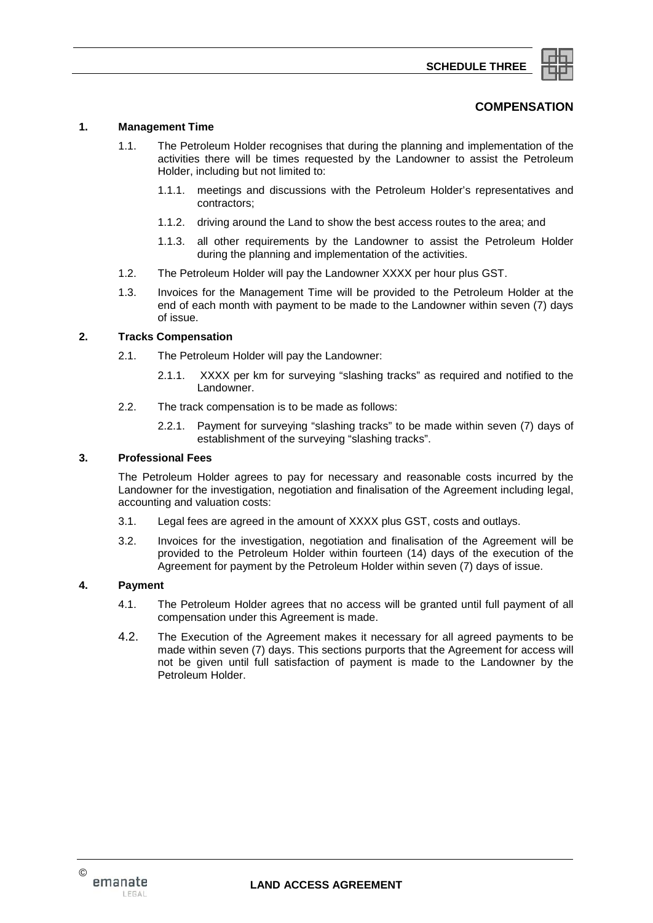

#### **COMPENSATION**

#### **1. Management Time**

- 1.1. The Petroleum Holder recognises that during the planning and implementation of the activities there will be times requested by the Landowner to assist the Petroleum Holder, including but not limited to:
	- 1.1.1. meetings and discussions with the Petroleum Holder's representatives and contractors;
	- 1.1.2. driving around the Land to show the best access routes to the area; and
	- 1.1.3. all other requirements by the Landowner to assist the Petroleum Holder during the planning and implementation of the activities.
- 1.2. The Petroleum Holder will pay the Landowner XXXX per hour plus GST.
- 1.3. Invoices for the Management Time will be provided to the Petroleum Holder at the end of each month with payment to be made to the Landowner within seven (7) days of issue.

#### **2. Tracks Compensation**

- 2.1. The Petroleum Holder will pay the Landowner:
	- 2.1.1. XXXX per km for surveying "slashing tracks" as required and notified to the Landowner.
- 2.2. The track compensation is to be made as follows:
	- 2.2.1. Payment for surveying "slashing tracks" to be made within seven (7) days of establishment of the surveying "slashing tracks".

#### **3. Professional Fees**

The Petroleum Holder agrees to pay for necessary and reasonable costs incurred by the Landowner for the investigation, negotiation and finalisation of the Agreement including legal, accounting and valuation costs:

- 3.1. Legal fees are agreed in the amount of XXXX plus GST, costs and outlays.
- 3.2. Invoices for the investigation, negotiation and finalisation of the Agreement will be provided to the Petroleum Holder within fourteen (14) days of the execution of the Agreement for payment by the Petroleum Holder within seven (7) days of issue.

#### **4. Payment**

- 4.1. The Petroleum Holder agrees that no access will be granted until full payment of all compensation under this Agreement is made.
- 4.2. The Execution of the Agreement makes it necessary for all agreed payments to be made within seven (7) days. This sections purports that the Agreement for access will not be given until full satisfaction of payment is made to the Landowner by the Petroleum Holder.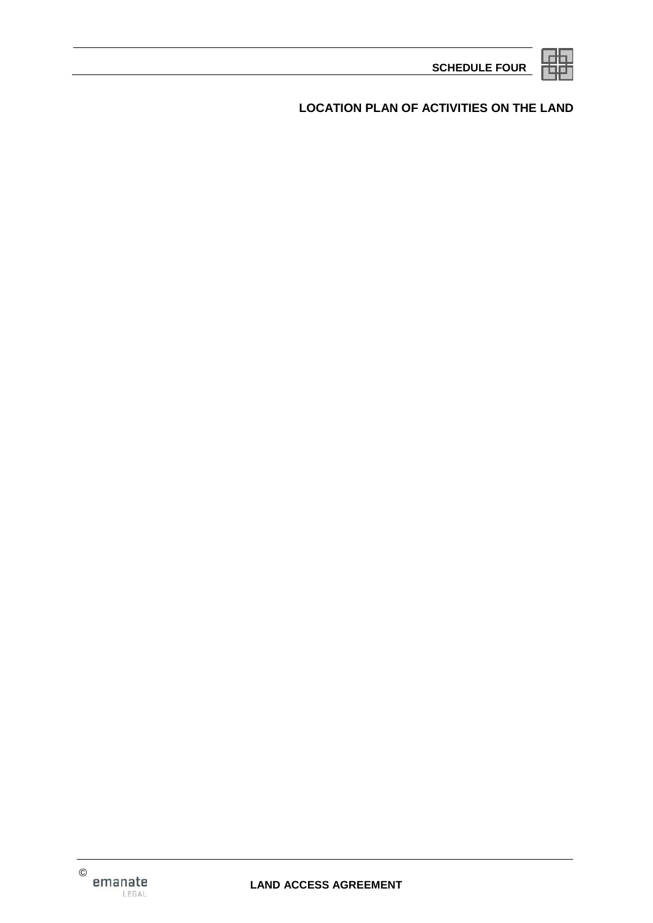**LOCATION PLAN OF ACTIVITIES ON THE LAND**

**SCHEDULE FOUR**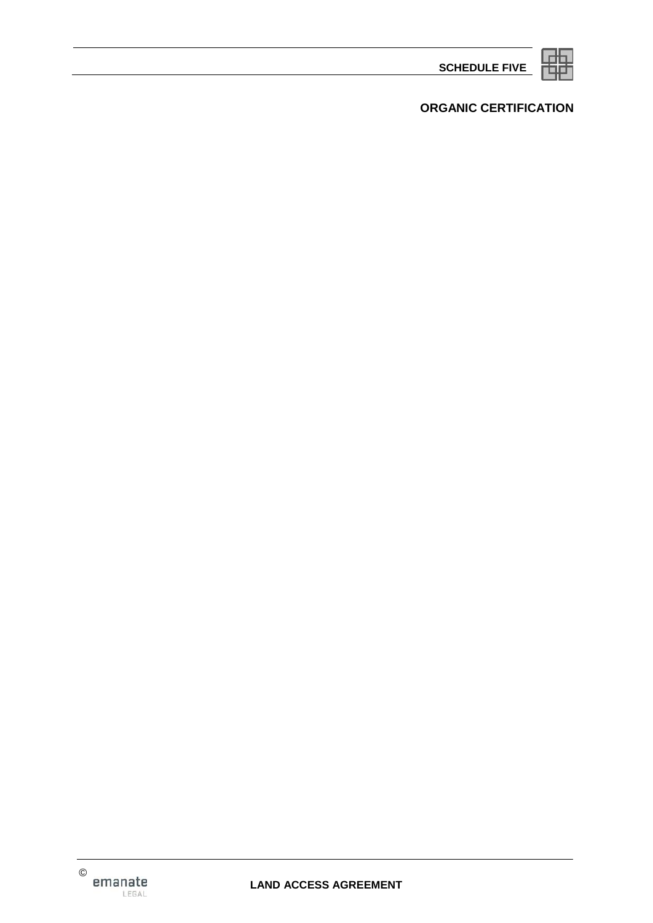**SCHEDULE FIVE**



# **ORGANIC CERTIFICATION**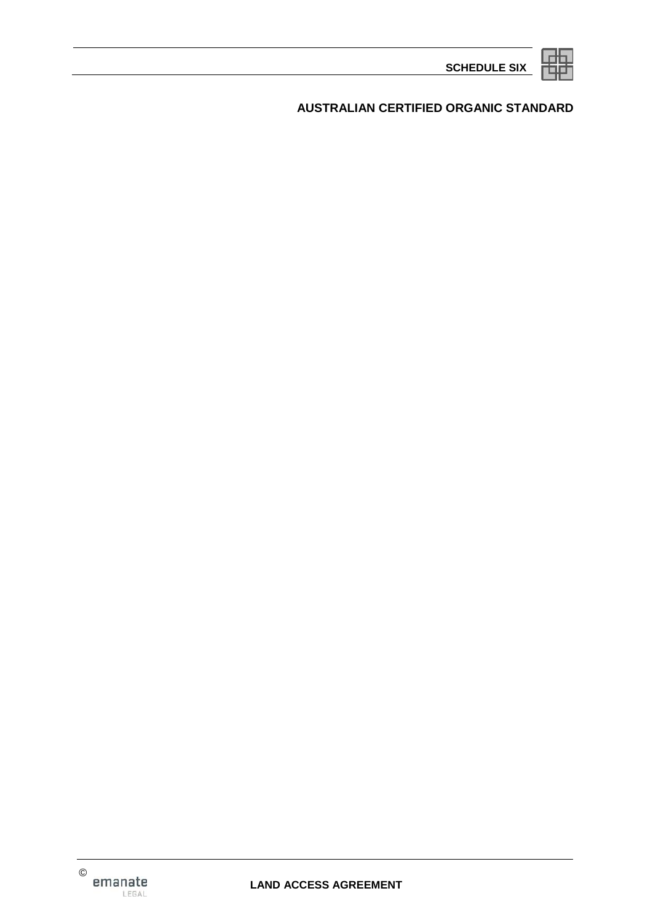**AUSTRALIAN CERTIFIED ORGANIC STANDARD**

**SCHEDULE SIX**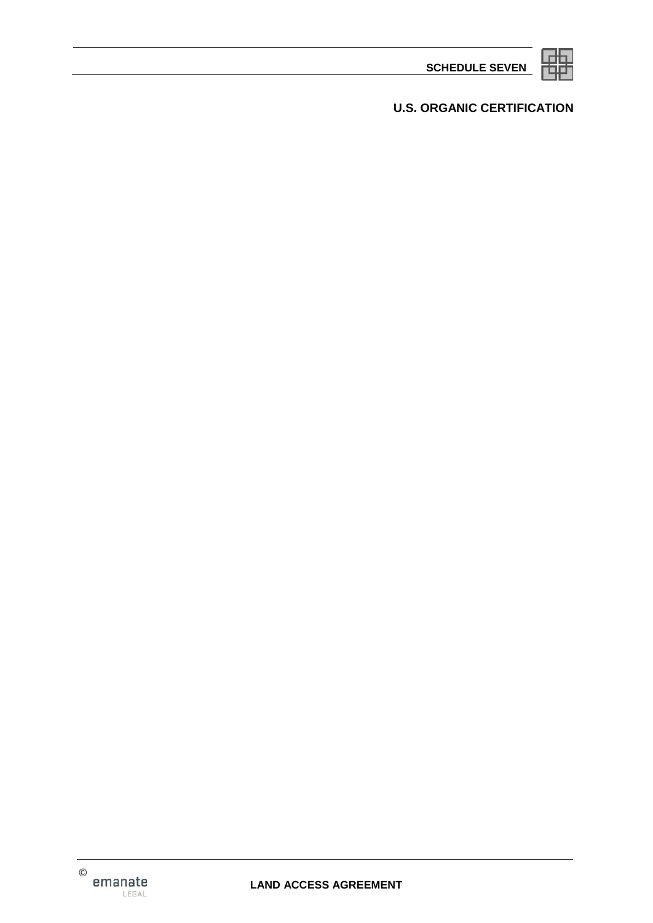**SCHEDULE SEVEN**



**U.S. ORGANIC CERTIFICATION**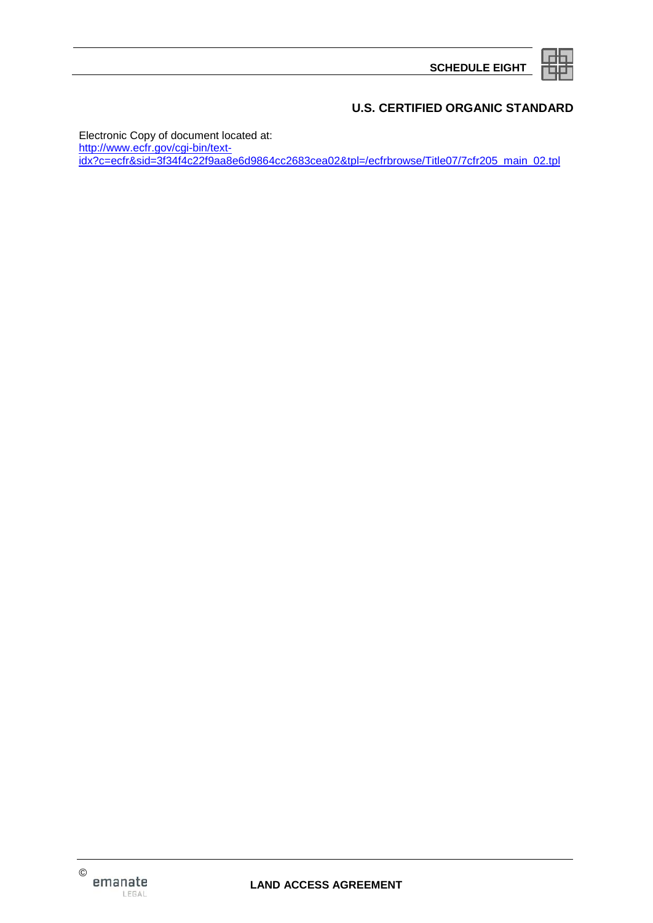**SCHEDULE EIGHT**



## **U.S. CERTIFIED ORGANIC STANDARD**

Electronic Copy of document located at: http://www.ecfr.gov/cgi-bin/textidx?c=ecfr&sid=3f34f4c22f9aa8e6d9864cc2683cea02&tpl=/ecfrbrowse/Title07/7cfr205 main 02.tpl